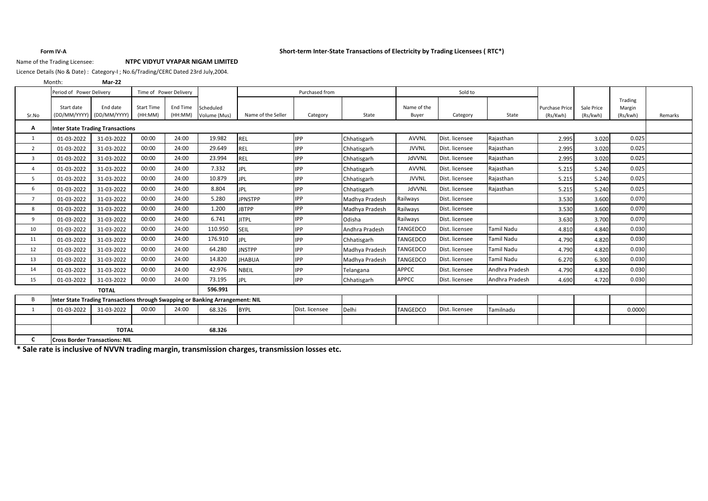## **Form IV-A Short-term Inter-State Transactions of Electricity by Trading Licensees ( RTC\*)**

## Name of the Trading Licensee: **NTPC VIDYUT VYAPAR NIGAM LIMITED**

Licence Details (No & Date) : Category-I ; No.6/Trading/CERC Dated 23rd July,2004.

**Mar-22** Month:

|                | Period of Power Delivery                                                      |                                         |                   | Time of Power Delivery |              | Purchased from     |                |                | Sold to         |                |                   |                       |            |                   |         |
|----------------|-------------------------------------------------------------------------------|-----------------------------------------|-------------------|------------------------|--------------|--------------------|----------------|----------------|-----------------|----------------|-------------------|-----------------------|------------|-------------------|---------|
|                | Start date                                                                    | End date                                | <b>Start Time</b> | End Time               | Scheduled    |                    |                |                | Name of the     |                |                   | <b>Purchase Price</b> | Sale Price | Trading<br>Margin |         |
| Sr.No          |                                                                               | (DD/MM/YYYY) (DD/MM/YYYY)               | (HH:MM)           | (HH:MM)                | Volume (Mus) | Name of the Seller | Category       | State          | Buyer           | Category       | State             | (Rs/Kwh)              | (Rs/kwh)   | (Rs/kwh)          | Remarks |
| Α              |                                                                               | <b>Inter State Trading Transactions</b> |                   |                        |              |                    |                |                |                 |                |                   |                       |            |                   |         |
| 1              | 01-03-2022                                                                    | 31-03-2022                              | 00:00             | 24:00                  | 19.982       | <b>REL</b>         | <b>IPP</b>     | Chhatisgarh    | <b>AVVNL</b>    | Dist. licensee | Rajasthan         | 2.995                 | 3.020      | 0.025             |         |
| $\overline{2}$ | 01-03-2022                                                                    | 31-03-2022                              | 00:00             | 24:00                  | 29.649       | <b>REL</b>         | <b>IPP</b>     | Chhatisgarh    | <b>JVVNL</b>    | Dist. licensee | Rajasthan         | 2.995                 | 3.020      | 0.025             |         |
| $\overline{3}$ | 01-03-2022                                                                    | 31-03-2022                              | 00:00             | 24:00                  | 23.994       | <b>REL</b>         | <b>IPP</b>     | Chhatisgarh    | JdVVNL          | Dist. licensee | Rajasthan         | 2.995                 | 3.020      | 0.025             |         |
| $\overline{4}$ | 01-03-2022                                                                    | 31-03-2022                              | 00:00             | 24:00                  | 7.332        | <b>JPL</b>         | <b>IPP</b>     | Chhatisgarh    | <b>AVVNL</b>    | Dist. licensee | Rajasthan         | 5.215                 | 5.240      | 0.025             |         |
| 5              | 01-03-2022                                                                    | 31-03-2022                              | 00:00             | 24:00                  | 10.879       | <b>JPL</b>         | <b>IPP</b>     | Chhatisgarh    | <b>JVVNL</b>    | Dist. licensee | Rajasthan         | 5.215                 | 5.240      | 0.025             |         |
| 6              | 01-03-2022                                                                    | 31-03-2022                              | 00:00             | 24:00                  | 8.804        | <b>JPL</b>         | <b>IPP</b>     | Chhatisgarh    | JdVVNL          | Dist. licensee | Rajasthan         | 5.215                 | 5.240      | 0.025             |         |
| $\overline{7}$ | 01-03-2022                                                                    | 31-03-2022                              | 00:00             | 24:00                  | 5.280        | <b>JPNSTPP</b>     | <b>IPP</b>     | Madhya Pradesh | Railways        | Dist. licensee |                   | 3.530                 | 3.600      | 0.070             |         |
| 8              | 01-03-2022                                                                    | 31-03-2022                              | 00:00             | 24:00                  | 1.200        | <b>JBTPP</b>       | <b>IPP</b>     | Madhya Pradesh | Railways        | Dist. licensee |                   | 3.530                 | 3.600      | 0.070             |         |
| 9              | 01-03-2022                                                                    | 31-03-2022                              | 00:00             | 24:00                  | 6.741        | <b>JITPL</b>       | <b>IPP</b>     | Odisha         | Railways        | Dist. licensee |                   | 3.630                 | 3.700      | 0.070             |         |
| 10             | 01-03-2022                                                                    | 31-03-2022                              | 00:00             | 24:00                  | 110.950      | SEIL               | <b>IPP</b>     | Andhra Pradesh | TANGEDCO        | Dist. licensee | <b>Tamil Nadu</b> | 4.810                 | 4.840      | 0.030             |         |
| 11             | 01-03-2022                                                                    | 31-03-2022                              | 00:00             | 24:00                  | 176.910      | <b>JPL</b>         | <b>IPP</b>     | Chhatisgarh    | TANGEDCO        | Dist. licensee | <b>Tamil Nadu</b> | 4.790                 | 4.820      | 0.030             |         |
| 12             | 01-03-2022                                                                    | 31-03-2022                              | 00:00             | 24:00                  | 64.280       | <b>JNSTPP</b>      | <b>IPP</b>     | Madhya Pradesh | TANGEDCO        | Dist. licensee | <b>Tamil Nadu</b> | 4.790                 | 4.820      | 0.030             |         |
| 13             | 01-03-2022                                                                    | 31-03-2022                              | 00:00             | 24:00                  | 14.820       | <b>JHABUA</b>      | <b>IPP</b>     | Madhva Pradesh | <b>TANGEDCO</b> | Dist. licensee | <b>Tamil Nadu</b> | 6.270                 | 6.300      | 0.030             |         |
| 14             | 01-03-2022                                                                    | 31-03-2022                              | 00:00             | 24:00                  | 42.976       | <b>NBEIL</b>       | <b>IPP</b>     | Telangana      | <b>APPCC</b>    | Dist. licensee | Andhra Pradesh    | 4.790                 | 4.820      | 0.030             |         |
| 15             | 01-03-2022                                                                    | 31-03-2022                              | 00:00             | 24:00                  | 73.195       | <b>JPL</b>         | <b>IPP</b>     | Chhatisgarh    | <b>APPCC</b>    | Dist. licensee | Andhra Pradesh    | 4.690                 | 4.720      | 0.030             |         |
|                |                                                                               | <b>TOTAL</b>                            |                   |                        | 596.991      |                    |                |                |                 |                |                   |                       |            |                   |         |
| B              | Inter State Trading Transactions through Swapping or Banking Arrangement: NIL |                                         |                   |                        |              |                    |                |                |                 |                |                   |                       |            |                   |         |
| 1              | 01-03-2022                                                                    | 31-03-2022                              | 00:00             | 24:00                  | 68.326       | <b>BYPL</b>        | Dist. licensee | Delhi          | TANGEDCO        | Dist. licensee | Tamilnadu         |                       |            | 0.0000            |         |
|                |                                                                               |                                         |                   |                        |              |                    |                |                |                 |                |                   |                       |            |                   |         |
|                |                                                                               | <b>TOTAL</b>                            |                   |                        | 68.326       |                    |                |                |                 |                |                   |                       |            |                   |         |
| C              | <b>Cross Border Transactions: NIL</b>                                         |                                         |                   |                        |              |                    |                |                |                 |                |                   |                       |            |                   |         |

**\* Sale rate is inclusive of NVVN trading margin, transmission charges, transmission losses etc.**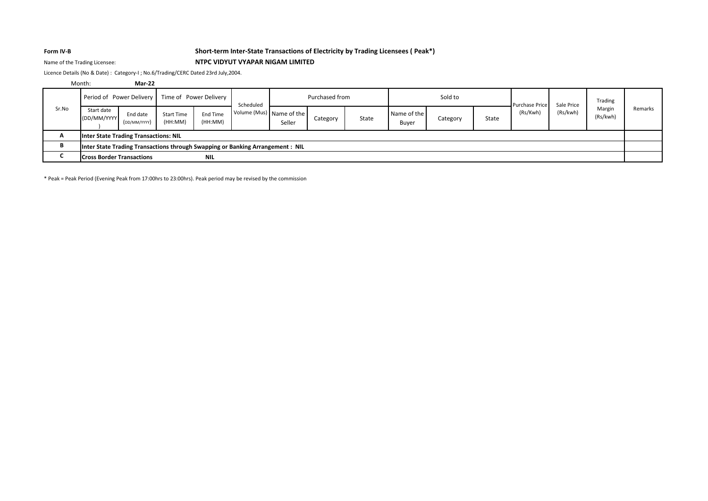## **Form IV-B Short-term Inter-State Transactions of Electricity by Trading Licensees ( Peak\*)**

## Name of the Trading Licensee: **NTPC VIDYUT VYAPAR NIGAM LIMITED**

Licence Details (No & Date) : Category-I ; No.6/Trading/CERC Dated 23rd July,2004.

|       | Month:                           | <b>Mar-22</b>                                |                              |                            |                                                                               |                                    |          |       |                      |          |                |            |          |                    |         |
|-------|----------------------------------|----------------------------------------------|------------------------------|----------------------------|-------------------------------------------------------------------------------|------------------------------------|----------|-------|----------------------|----------|----------------|------------|----------|--------------------|---------|
|       | Period of Power Delivery         |                                              |                              | Time of Power Delivery     |                                                                               | Purchased from<br>Scheduled        |          |       | Sold to              |          | Purchase Price | Sale Price | Trading  |                    |         |
| Sr.No | Start date<br>(DD/MM/YYYY        | End date<br>(DD/MM/YYYY)                     | <b>Start Time</b><br>(HH:MM) | <b>End Time</b><br>(HH:MM) |                                                                               | Volume (Mus) Name of the<br>Seller | Category | State | Name of the<br>Buyer | Category | State          | (Rs/Kwh)   | (Rs/kwh) | Margin<br>(Rs/kwh) | Remarks |
|       |                                  | <b>Inter State Trading Transactions: NIL</b> |                              |                            |                                                                               |                                    |          |       |                      |          |                |            |          |                    |         |
|       |                                  |                                              |                              |                            | Inter State Trading Transactions through Swapping or Banking Arrangement: NIL |                                    |          |       |                      |          |                |            |          |                    |         |
|       | <b>Cross Border Transactions</b> |                                              |                              | <b>NIL</b>                 |                                                                               |                                    |          |       |                      |          |                |            |          |                    |         |

\* Peak = Peak Period (Evening Peak from 17:00hrs to 23:00hrs). Peak period may be revised by the commission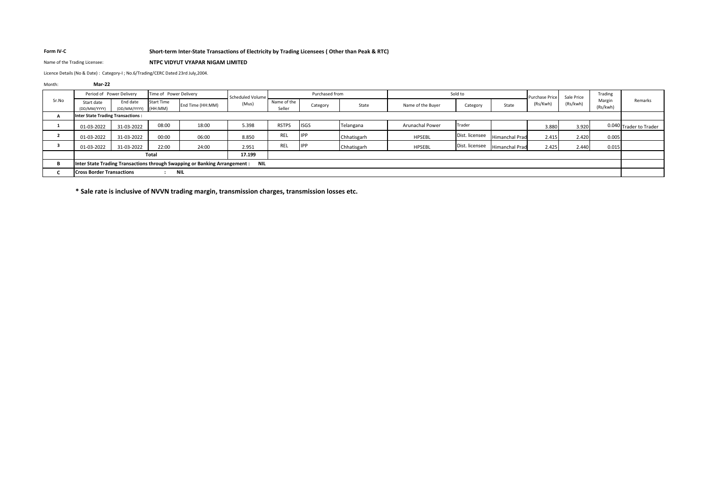## **Form IV-C Short-term Inter-State Transactions of Electricity by Trading Licensees ( Other than Peak & RTC)**

### Name of the Trading Licensee: **NTPC VIDYUT VYAPAR NIGAM LIMITED**

Licence Details (No & Date) : Category-I ; No.6/Trading/CERC Dated 23rd July,2004.

| <b>Mar-22</b>              |            |                                                                                                          |                                                    |                               |                                                                                                    |            |                           |                        |                |         |          |                                                           |                                       |                                                     |
|----------------------------|------------|----------------------------------------------------------------------------------------------------------|----------------------------------------------------|-------------------------------|----------------------------------------------------------------------------------------------------|------------|---------------------------|------------------------|----------------|---------|----------|-----------------------------------------------------------|---------------------------------------|-----------------------------------------------------|
|                            |            |                                                                                                          |                                                    |                               |                                                                                                    |            |                           |                        |                |         |          |                                                           | Trading                               |                                                     |
| Start date<br>(DD/MM/YYYY) | End date   |                                                                                                          | End Time (HH:MM)                                   | (Mus)                         | Name of the<br>Seller                                                                              | Category   | State                     | Name of the Buyer      | Category       | State   | (Rs/Kwh) | (Rs/kwh)                                                  | (Rs/kwh)                              | Remarks                                             |
|                            |            |                                                                                                          |                                                    |                               |                                                                                                    |            |                           |                        |                |         |          |                                                           |                                       |                                                     |
| 01-03-2022                 | 31-03-2022 | 08:00                                                                                                    | 18:00                                              | 5.398                         | <b>RSTPS</b>                                                                                       |            | Telangana                 | <b>Arunachal Power</b> | Trader         |         |          |                                                           |                                       | 0.040 Trader to Trader                              |
| 01-03-2022                 | 31-03-2022 | 00:00                                                                                                    | 06:00                                              | 8.850                         | REL                                                                                                |            | Chhatisgarh               | <b>HPSEBL</b>          | Dist. licensee |         |          |                                                           |                                       |                                                     |
| 01-03-2022                 | 31-03-2022 | 22:00                                                                                                    | 24:00                                              | 2.951                         | REL                                                                                                | <b>IPP</b> | Chhatisgarh               | <b>HPSEBL</b>          | Dist. licensee |         |          |                                                           |                                       |                                                     |
|                            |            |                                                                                                          |                                                    | 17.199                        |                                                                                                    |            |                           |                        |                |         |          |                                                           |                                       |                                                     |
|                            |            |                                                                                                          |                                                    |                               |                                                                                                    |            |                           |                        |                |         |          |                                                           |                                       |                                                     |
|                            |            |                                                                                                          |                                                    |                               |                                                                                                    |            |                           |                        |                |         |          |                                                           |                                       |                                                     |
|                            |            | Period of Power Delivery<br><b>Inter State Trading Transactions:</b><br><b>Cross Border Transactions</b> | <b>Start Time</b><br>(DD/MM/YYYY) (HH:MM)<br>Total | Time of Power Delivery<br>NIL | Scheduled Volume<br>Inter State Trading Transactions through Swapping or Banking Arrangement : NIL |            | <b>ISGS</b><br><b>IPP</b> | Purchased from         |                | Sold to |          | <b>Purchase Price</b><br>Himanchal Prad<br>Himanchal Prad | Sale Price<br>3.880<br>2.415<br>2.425 | Margin<br>3.920<br>2.420<br>0.005<br>2.440<br>0.015 |

**\* Sale rate is inclusive of NVVN trading margin, transmission charges, transmission losses etc.**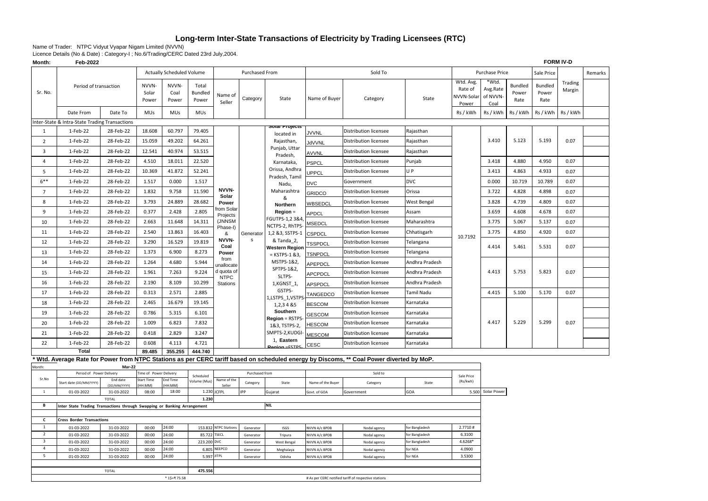# **Long-term Inter-State Transactions of Electricity by Trading Licensees (RTC)**

Name of Trader: NTPC Vidyut Vyapar Nigam Limited (NVVN)

Licence Details (No & Date) : Category-I ; No.6/Trading/CERC Dated 23rd July,2004.

| Month:                  | Feb-2022                                                                                                            |                          |                         |                                  |                                  |                          |                        |                                                      |                                |                                                                                                                                        |                                |                                             | <b>FORM IV-D</b>                      |                          |                          |                   |         |
|-------------------------|---------------------------------------------------------------------------------------------------------------------|--------------------------|-------------------------|----------------------------------|----------------------------------|--------------------------|------------------------|------------------------------------------------------|--------------------------------|----------------------------------------------------------------------------------------------------------------------------------------|--------------------------------|---------------------------------------------|---------------------------------------|--------------------------|--------------------------|-------------------|---------|
|                         |                                                                                                                     |                          |                         | <b>Actually Scheduled Volume</b> |                                  |                          | Purchased From         |                                                      |                                | Sold To                                                                                                                                |                                |                                             | Purchase Price                        |                          | Sale Price               |                   | Remarks |
| Sr. No.                 | Period of transaction                                                                                               |                          | NVVN-<br>Solar<br>Power | NVVN-<br>Coal<br>Power           | Total<br><b>Bundled</b><br>Power | Name of<br>Seller        | Category               | State                                                | Name of Buyer                  | Category                                                                                                                               | State                          | Wtd. Avg.<br>Rate of<br>NVVN-Solar<br>Power | *Wtd.<br>Avg.Rate<br>of NVVN-<br>Coal | Bundled<br>Power<br>Rate | Bundled<br>Power<br>Rate | Trading<br>Margin |         |
|                         | Date From                                                                                                           | Date To                  | <b>MUs</b>              | <b>MUs</b>                       | <b>MUs</b>                       |                          |                        |                                                      |                                |                                                                                                                                        |                                | Rs / kWh                                    | Rs / kWh                              | Rs / kWh                 | Rs / kWh                 | Rs / kWh          |         |
|                         | Inter-State & Intra-State Trading Transactions                                                                      |                          |                         |                                  |                                  |                          |                        |                                                      |                                |                                                                                                                                        |                                |                                             |                                       |                          |                          |                   |         |
| 1                       | 1-Feb-22                                                                                                            | 28-Feb-22                | 18.608                  | 60.797                           | 79.405                           |                          |                        | Solar Projects<br>located in                         | <b>JVVNL</b>                   | Distribution licensee                                                                                                                  | Rajasthan                      |                                             |                                       |                          |                          |                   |         |
| $\overline{2}$          | 1-Feb-22                                                                                                            | 28-Feb-22                | 15.059                  | 49.202                           | 64.261                           |                          |                        | Rajasthan,                                           | JdVVNL                         | Distribution licensee                                                                                                                  | Rajasthan                      |                                             | 3.410                                 | 5.123                    | 5.193                    | 0.07              |         |
| $\overline{\mathbf{3}}$ | 1-Feb-22                                                                                                            | 28-Feb-22                | 12.541                  | 40.974                           | 53.515                           |                          |                        | Punjab, Uttar<br>Pradesh,                            | AVVNL                          | Distribution licensee                                                                                                                  | Rajasthan                      |                                             |                                       |                          |                          |                   |         |
| $\overline{4}$          | 1-Feb-22                                                                                                            | 28-Feb-22                | 4.510                   | 18.011                           | 22.520                           |                          |                        | Karnataka,                                           | <b>PSPCL</b>                   | Distribution licensee                                                                                                                  | Punjab                         |                                             | 3.418                                 | 4.880                    | 4.950                    | 0.07              |         |
| 5                       | 1-Feb-22                                                                                                            | 28-Feb-22                | 10.369                  | 41.872                           | 52.241                           |                          |                        | Orissa, Andhra                                       | <b>JPPCL</b>                   | Distribution licensee                                                                                                                  | U P                            |                                             | 3.413                                 | 4.863                    | 4.933                    | 0.07              |         |
| $6***$                  | 1-Feb-22                                                                                                            | 28-Feb-22                | 1.517                   | 0.000                            | 1.517                            |                          |                        | Pradesh, Tamil<br>Nadu,                              | <b>DVC</b>                     | Government                                                                                                                             | <b>DVC</b>                     |                                             | 0.000                                 | 10.719                   | 10.789                   | 0.07              |         |
| $\overline{7}$          | 1-Feb-22                                                                                                            | 28-Feb-22                | 1.832                   | 9.758                            | 11.590                           | NVVN-                    |                        | Maharashtra                                          | <b>GRIDCO</b>                  | Distribution licensee                                                                                                                  | Orissa                         |                                             | 3.722                                 | 4.828                    | 4.898                    | 0.07              |         |
| 8                       | 1-Feb-22                                                                                                            | 28-Feb-22                | 3.793                   | 24.889                           | 28.682                           | Solar<br>Power           |                        | &                                                    | WBSEDCL                        | Distribution licensee                                                                                                                  | West Bengal                    |                                             | 3.828                                 | 4.739                    | 4.809                    | 0.07              |         |
| 9                       | 1-Feb-22                                                                                                            | 28-Feb-22                | 0.377                   | 2.428                            | 2.805                            | rom Solar                |                        | Northern<br>Region =                                 | APDCL                          | Distribution licensee                                                                                                                  | Assam                          |                                             | 3.659                                 | 4.608                    | 4.678                    | 0.07              |         |
| 10                      | 1-Feb-22                                                                                                            | 28-Feb-22                | 2.663                   | 11.648                           | 14.311                           | Projects<br>(JNNSM       |                        | FGUTPS-1,2 3&4,                                      | MSEDCL                         | Distribution licensee                                                                                                                  | Maharashtra                    |                                             | 3.775                                 | 5.067                    | 5.137                    | 0.07              |         |
| 11                      | 1-Feb-22<br>28-Feb-22<br>2.540<br>13.863                                                                            |                          |                         |                                  | 16.403                           | Phase-I)<br>&            | Generator              | NCTPS-2, RhTPS-<br>1,2 &3, SSTPS-1                   | <b>CSPDCL</b>                  | Distribution licensee                                                                                                                  | Chhatisgarh                    |                                             | 3.775                                 | 4.850                    | 4.920                    | 0.07              |         |
| 12                      | 1-Feb-22                                                                                                            | 28-Feb-22                | 3.290                   | 16.529                           | 19.819                           | NVVN-                    | <b>S</b>               | & Tanda_2,                                           | <b>TSSPDCL</b>                 | Distribution licensee                                                                                                                  | Telangana                      | 10.7192                                     |                                       |                          |                          |                   |         |
| 13                      | 1-Feb-22                                                                                                            | 28-Feb-22                | 1.373                   | 6.900                            | 8.273                            | Coal<br>Power            |                        | <b>Western Region</b>                                | <b>TSNPDCL</b>                 | Distribution licensee                                                                                                                  | Telangana                      |                                             | 4.414                                 | 5.461                    | 5.531                    | 0.07              |         |
| 14                      | 1-Feb-22                                                                                                            | 28-Feb-22                | 1.264                   | 4.680                            | 5.944                            | from                     |                        | $=$ KSTPS-1 &3,<br>MSTPS-1&2,                        | APEPDCL                        | Distribution licensee                                                                                                                  | Andhra Pradesh                 |                                             |                                       |                          |                          |                   |         |
| 15                      | 1-Feb-22                                                                                                            | 28-Feb-22                | 1.961                   | 7.263                            | 9.224                            | unallocate<br>d quota of |                        | SPTPS-1&2,                                           | APCPDCL                        | Distribution licensee                                                                                                                  | Andhra Pradesh                 |                                             | 4.413                                 | 5.753                    | 5.823                    | 0.07              |         |
| 16                      | 1-Feb-22                                                                                                            | 28-Feb-22                | 2.190                   | 8.109                            | 10.299                           | <b>NTPC</b><br>Stations  |                        | SLTPS-<br>1,KGNST_1,                                 | APSPDCL                        | Distribution licensee                                                                                                                  | Andhra Pradesh                 |                                             |                                       |                          |                          |                   |         |
| 17                      | 1-Feb-22                                                                                                            | 28-Feb-22                | 0.313                   | 2.571                            | 2.885                            |                          |                        | GSTPS-                                               | TANGEDCO                       | Distribution licensee                                                                                                                  | Tamil Nadu                     |                                             | 4.415                                 | 5.100                    | 5.170                    | 0.07              |         |
| 18                      | 1-Feb-22                                                                                                            | 28-Feb-22                | 2.465                   | 16.679                           | 19.145                           |                          |                        | 1,LSTPS_1,VSTPS<br>1,2,3 4 & 5                       | <b>BESCOM</b>                  | Distribution licensee                                                                                                                  | Karnataka                      |                                             |                                       |                          |                          |                   |         |
| 19                      | 1-Feb-22                                                                                                            | 28-Feb-22                | 0.786                   | 5.315                            | 6.101                            |                          |                        | Southern                                             | <b>GESCOM</b>                  | Distribution licensee                                                                                                                  | Karnataka                      |                                             |                                       |                          |                          |                   |         |
| 20                      | 1-Feb-22                                                                                                            | 28-Feb-22                | 1.009                   | 6.823                            | 7.832                            |                          |                        | Region = RSTPS-                                      | <b>HESCOM</b>                  | Distribution licensee                                                                                                                  | Karnataka                      |                                             | 4.417                                 | 5.229                    | 5.299                    | 0.07              |         |
| 21                      | 1-Feb-22                                                                                                            | 28-Feb-22                | 0.418                   | 2.829                            | 3.247                            |                          |                        | 1&3, TSTPS-2,<br>SMPTS-2,KUDGI-                      | <b>MESCOM</b>                  | Distribution licensee                                                                                                                  | Karnataka                      |                                             |                                       |                          |                          |                   |         |
| 22                      | 1-Feb-22                                                                                                            | 28-Feb-22                | 0.608                   | 4.113                            | 4.721                            |                          |                        | 1, Eastern                                           | <b>CESC</b>                    | Distribution licensee                                                                                                                  | Karnataka                      |                                             |                                       |                          |                          |                   |         |
|                         | <b>Total</b>                                                                                                        |                          | 89.485                  | 355.255                          | 444.740                          |                          |                        |                                                      |                                |                                                                                                                                        |                                |                                             |                                       |                          |                          |                   |         |
|                         |                                                                                                                     |                          |                         |                                  |                                  |                          |                        |                                                      |                                | Wtd. Average Rate for Power from NTPC Stations as per CERC tariff based on scheduled energy by Discoms, ** Coal Power diverted by MoP. |                                |                                             |                                       |                          |                          |                   |         |
| Aonth:                  | Period of Power Delivery                                                                                            | Mar-22                   | Time of Power Delivery  |                                  |                                  |                          | Purchased from         |                                                      |                                | Sold to                                                                                                                                |                                |                                             |                                       |                          |                          |                   |         |
| Sr.No                   | Start date (DD/MM/YYYY                                                                                              | End date                 | Start Time              | End Time                         | Scheduled<br>Volume (Mus)        | Name of the              | Category               | State                                                | Name of the Buyer              | Category                                                                                                                               | State                          | Sale Price<br>(Rs/kwh)                      |                                       |                          |                          |                   |         |
| $\mathbf{1}$            | HH:MM)<br>DD/MM/YYYY<br>HH:MM)<br>Seller<br>18:00<br>1.230 JCFPL<br>01-03-2022<br>31-03-2022<br>08:00<br><b>IPP</b> |                          |                         |                                  |                                  |                          | Gujarat                | Govt. of GOA                                         | Government                     | GOA                                                                                                                                    |                                | 5.500 Solar Power                           |                                       |                          |                          |                   |         |
|                         | 1.230<br><b>TOTAL</b>                                                                                               |                          |                         |                                  |                                  |                          |                        |                                                      |                                |                                                                                                                                        |                                |                                             |                                       |                          |                          |                   |         |
| B                       | <b>NIL</b><br>Inter State Trading Transactions through Swapping or Banking Arrangement                              |                          |                         |                                  |                                  |                          |                        |                                                      |                                |                                                                                                                                        |                                |                                             |                                       |                          |                          |                   |         |
| $\mathsf{c}$            | <b>Cross Border Transactions</b>                                                                                    |                          |                         |                                  |                                  |                          |                        |                                                      |                                |                                                                                                                                        |                                |                                             |                                       |                          |                          |                   |         |
| $\mathbf{1}$            | 01-03-2022                                                                                                          | 31-03-2022               | 00:00                   | 24:00                            |                                  | 153.832 NTPC Stations    | Generator              | ISGS                                                 | NVVN A/c BPDB                  | Nodal agency                                                                                                                           | or Bangladesh                  | 2.7710#                                     |                                       |                          |                          |                   |         |
| $\overline{2}$<br>3     | 01-03-2022<br>01-03-2022                                                                                            | 31-03-2022               | 00:00                   | 24:00<br>24:00                   | 85.722<br>223.200 DVC            | <b>TSECL</b>             | Generator              | Tripura                                              | NVVN A/c BPDB                  | Nodal agency                                                                                                                           | or Bangladesh<br>or Bangladesh | 6.3100<br>4.6268*                           |                                       |                          |                          |                   |         |
| $\overline{4}$          | 01-03-2022                                                                                                          | 31-03-2022<br>31-03-2022 | 00:00<br>00:00          | 24:00                            |                                  | 6.805 NEEPCO             | Generator<br>Generator | West Bengal<br>Meghalaya                             | NVVN A/c BPDB<br>NVVN A/c BPDB | Nodal agency<br>Nodal agency                                                                                                           | or NEA                         | 4.0900                                      |                                       |                          |                          |                   |         |
| 5                       | 01-03-2022                                                                                                          | 31-03-2022               | 00:00                   | 24:00                            | 5.997 JITPL                      |                          | Generator              | Odisha                                               | NVVN A/c BPDB                  | Nodal agency                                                                                                                           | for NEA                        | 3.5300                                      |                                       |                          |                          |                   |         |
| TOTAL                   |                                                                                                                     |                          |                         |                                  |                                  |                          |                        |                                                      |                                |                                                                                                                                        |                                |                                             |                                       |                          |                          |                   |         |
|                         |                                                                                                                     | * 1\$=₹ 75.58            | 475.556                 |                                  |                                  |                          |                        | # As per CERC notified tariff of respective stations |                                |                                                                                                                                        |                                |                                             |                                       |                          |                          |                   |         |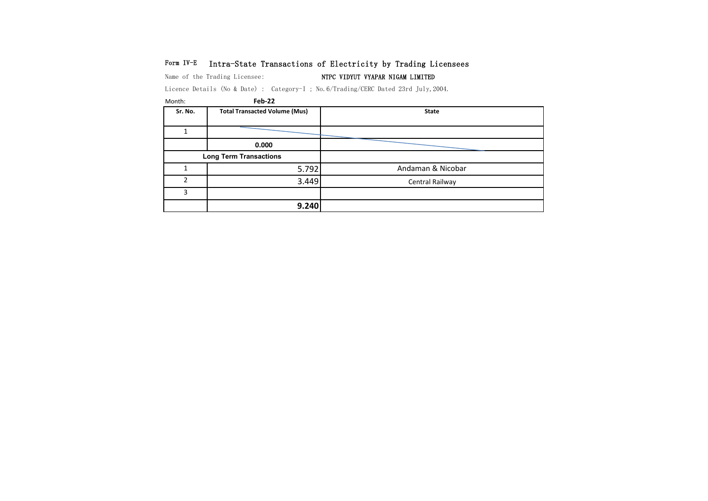## Form IV-E Intra-State Transactions of Electricity by Trading Licensees

Name of the Trading Licensee: NTPC VIDYUT VYAPAR NIGAM LIMITED

Licence Details (No & Date) : Category-I ; No.6/Trading/CERC Dated 23rd July,2004.

| Month:  | Feb-22                               |                   |
|---------|--------------------------------------|-------------------|
| Sr. No. | <b>Total Transacted Volume (Mus)</b> | <b>State</b>      |
|         |                                      |                   |
|         | 0.000                                |                   |
|         | <b>Long Term Transactions</b>        |                   |
|         | 5.792                                | Andaman & Nicobar |
| C       | 3.449                                | Central Railway   |
| 3       |                                      |                   |
|         | 9.240                                |                   |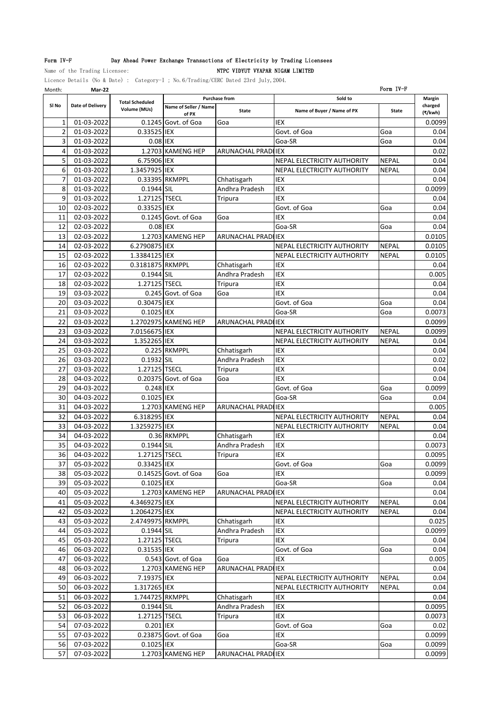### Form IV-F Day Ahead Power Exchange Transactions of Electricity by Trading Licensees

Name of the Trading Licensee:  $NTPC VIDYUT VYAPAR NIGAM LIMITED$ Licence Details (No & Date) : Category-I ; No.6/Trading/CERC Dated 23rd July,2004.

Month: **Mar-22** Form IV-F **Name of Seller / Name of PX State Name of Buyer / Name of PX State** 1| 01-03-2022| 0.1245|Govt. of Goa 0.0099 2 01-03-2022 0.33525 IEX Govt. of Goa Goa 0.04 3| 01-03-2022| 0.08|IEX | Goa-SR |Goa | 0.04 4 01-03-2022 1.2703 KAMENG HEP ARUNACHAL PRADILEX 1.0.02 5 01-03-2022 6.75906 IEX NEPAL ELECTRICITY AUTHORITY NEPAL 0.04 6 01-03-2022 1.3457925 IEX NEPAL ELECTRICITY AUTHORITY NEPAL 0.04 7 01-03-2022 0.33395 RKMPPL Chhatisgarh IEX 0.04 8 01-03-2022 0.1944 SIL Andhra Pradesh IEX 10-03-99 0.0099 9 01-03-2022 1.27125 TSECL Tripura IEX 0.04 10 02-03-2022 0.33525 IEX Govt. of Goa Goa 0.04 11 02-03-2022 0.1245 Govt. of Goa Goa IEX IEX 0.04 12 02-03-2022 0.08 IEX Goa-SR Goa 0.04 13 02-03-2022 1.2703 KAMENG HEP ARUNACHAL PRADILEX 1.0.0105 14 02-03-2022 6.2790875 IEX NEPAL ELECTRICITY AUTHORITY NEPAL 0.0105 15 02-03-2022 1.3384125 IEX NEPAL ELECTRICITY AUTHORITY NEPAL 0.0105<br>16 02-03-2022 0.3181875 RKMPPL Chhatisgarh IEX 1 16 02-03-2022 0.3181875 RKMPPL Chhatisgarh IEX 0.04 17 02-03-2022 0.1944 SIL Andhra Pradesh IEX 0.005 18 02-03-2022 1.27125 TSECL Tripura IEX 0.04 19 03-03-2022 0.245 Govt. of Goa Goa IEX 0.04<br>20 03-03-2022 0.30475 IEX Govt. of Goa Govt. of Goa Goa Goa 0.04 20 03-03-2022 0.30475 IEX Govt. of Goa Goa 0.04 21 03-03-2022 0.1025 IEX Goa-SR Goa 0.0073 22 03-03-2022 1.2702975 KAMENG HEP ARUNACHAL PRADIEX 03-03-03-2022 03-03-03-03-03 23 03-03-2022 7.0156675 IEX NEPAL ELECTRICITY AUTHORITY NEPAL 0.0099 24 03-03-2022 1.352265 IEX NEPAL ELECTRICITY AUTHORITY NEPAL 0.04 25 03-03-2022 0.225 RKMPPL Chhatisgarh IEX 0.04 26 03-03-2022 0.1932 SIL Andhra Pradesh IEX 0.02 27 03-03-2022 1.27125 TSECL Tripura IEX 10.04 28 04-03-2022 0.20375 Govt. of Goa Goa IEX IEX 1.004 0.04 29 04-03-2022 0.248 IEX Govt. of Goa Goa 0.0099 30 04-03-2022 0.1025 IEX Goa-SR Goa 0.04 31 04-03-2022 1.2703 KAMENG HEP ARUNACHAL PRADILEX 1.2703 KAMENG HEP ARUNACHAL PRADILEX 32 04-03-2022 6.318295 IEX NEPAL NEPAL ELECTRICITY AUTHORITY NEPAL 32 33 04-03-2022 1.3259275 IEX NEPAL ELECTRICITY AUTHORITY NEPAL 0.04 34 04-03-2022 0.36 RKMPPL Chhatisgarh IEX 0.04 35 04-03-2022 0.1944 SIL Andhra Pradesh IEX 0.0073 36 04-03-2022 1.27125 TSECL Tripura IEX 100095 37| 05-03-2022| 0.33425|IEX | |Govt. of Goa |Goa | 0.0099 38 05-03-2022 0.14525 Govt. of Goa Goa IEX 12.00099 0.0099 39 05-03-2022 0.1025 IEX Goa-SR Goa 0.04 40 05-03-2022 1.2703 KAMENG HEP ARUNACHAL PRADILEX 1.2703 MAMENG HEP ARUNACHAL PRADILEX 41 05-03-2022 4.3469275 IEX NEPAL ELECTRICITY AUTHORITY NEPAL 0.04 42 05-03-2022 1.2064275 IEX NEPAL ELECTRICITY AUTHORITY NEPAL 1 0.04 43 05-03-2022 2.4749975 RKMPPL Chhatisgarh IEX 0.025 44 05-03-2022 0.1944 SIL Andhra Pradesh IEX 0.0099 45 05-03-2022 1.27125 TSECL Tripura IEX 1.27125 TSECL Tripura IEX 1.27125 ITSECL TRIPURA 46 06-03-2022 0.31535 IEX Govt. of Goa Goa 0.04 47 06-03-2022 0.543 Govt. of Goa Goa IEX IEX 10.005 48 06-03-2022 1.2703 KAMENG HEP ARUNACHAL PRADILEX 1.2703 MAMENG HEP ARUNACHAL PRADILEX 49 06-03-2022 7.19375 IEX NEPAL ELECTRICITY AUTHORITY NEPAL 3.04 50 06-03-2022 1.317265 IEX NEPAL ELECTRICITY AUTHORITY NEPAL 0.04 51 06-03-2022 1.744725 RKMPPL Chhatisgarh IEX 10.04 52 06-03-2022 0.1944 SIL Andhra Pradesh IEX 0.0095 53 06-03-2022 1.27125 TSECL Tripura IEX 0.0073 54 07-03-2022 0.201 IEX Govt. of Goa Goa 0.02 55 07-03-2022 0.23875 Govt. of Goa Goa IEX IEX 10.0099 56 07-03-2022 0.1025 IEX Goa-SR Goa 0.0099 57 07-03-2022 1.2703 KAMENG HEP ARUNACHAL PRADILEX 1.2703 ASSESSMENT RADILEX **Margin charged (₹/kwh) Sl No Date of Delivery Total Scheduled Volume (MUs) Purchase from Sold to**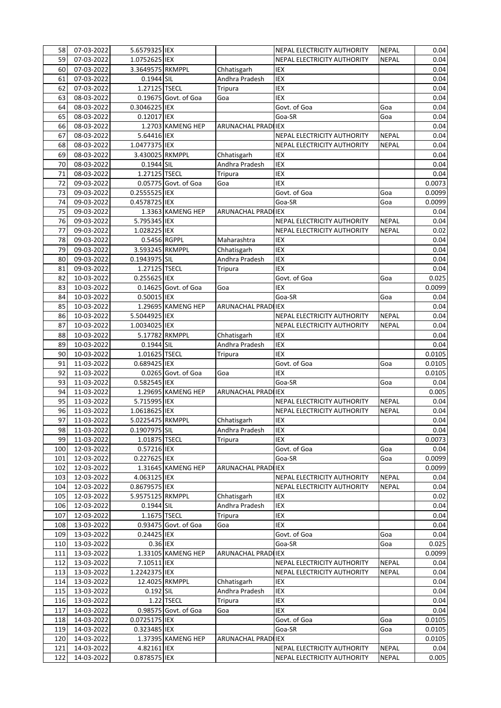| 58  | 07-03-2022 | 5.6579325 IEX    |                        |                            | <b>NEPAL ELECTRICITY AUTHORITY</b> | <b>NEPAL</b> | 0.04   |
|-----|------------|------------------|------------------------|----------------------------|------------------------------------|--------------|--------|
| 59  | 07-03-2022 | 1.0752625 IEX    |                        |                            | NEPAL ELECTRICITY AUTHORITY        | <b>NEPAL</b> | 0.04   |
| 60  | 07-03-2022 | 3.3649575 RKMPPL |                        | Chhatisgarh                | <b>IEX</b>                         |              | 0.04   |
| 61  | 07-03-2022 | 0.1944 SIL       |                        | Andhra Pradesh             | IEX                                |              | 0.04   |
| 62  | 07-03-2022 | 1.27125 TSECL    |                        | Tripura                    | <b>IEX</b>                         |              | 0.04   |
| 63  | 08-03-2022 |                  | 0.19675 Govt. of Goa   | Goa                        | <b>IEX</b>                         |              | 0.04   |
| 64  | 08-03-2022 | 0.3046225 IEX    |                        |                            | Govt. of Goa                       | Goa          | 0.04   |
| 65  | 08-03-2022 | 0.12017 IEX      |                        |                            | Goa-SR                             | Goa          | 0.04   |
| 66  | 08-03-2022 |                  | 1.2703 KAMENG HEP      | ARUNACHAL PRADI IEX        |                                    |              | 0.04   |
| 67  | 08-03-2022 | 5.64416 IEX      |                        |                            | NEPAL ELECTRICITY AUTHORITY        | <b>NEPAL</b> | 0.04   |
| 68  | 08-03-2022 | 1.0477375 IEX    |                        |                            | NEPAL ELECTRICITY AUTHORITY        | <b>NEPAL</b> | 0.04   |
| 69  | 08-03-2022 | 3.430025 RKMPPL  |                        | Chhatisgarh                | IEX                                |              | 0.04   |
| 70  | 08-03-2022 | 0.1944 SIL       |                        | Andhra Pradesh             | IEX                                |              | 0.04   |
| 71  | 08-03-2022 | 1.27125 TSECL    |                        | Tripura                    | IEX                                |              | 0.04   |
| 72  | 09-03-2022 |                  | 0.05775 Govt. of Goa   | Goa                        | <b>IEX</b>                         |              | 0.0073 |
| 73  | 09-03-2022 | 0.2555525 IEX    |                        |                            | Govt. of Goa                       | Goa          | 0.0099 |
| 74  | 09-03-2022 | 0.4578725 IEX    |                        |                            | Goa-SR                             | Goa          | 0.0099 |
| 75  | 09-03-2022 |                  | 1.3363 KAMENG HEP      | ARUNACHAL PRADI IEX        |                                    |              | 0.04   |
| 76  | 09-03-2022 | 5.795345 IEX     |                        |                            | NEPAL ELECTRICITY AUTHORITY        | <b>NEPAL</b> | 0.04   |
| 77  | 09-03-2022 | 1.028225 IEX     |                        |                            | NEPAL ELECTRICITY AUTHORITY        | <b>NEPAL</b> | 0.02   |
| 78  | 09-03-2022 | 0.5456 RGPPL     |                        | Maharashtra                | <b>IEX</b>                         |              | 0.04   |
| 79  | 09-03-2022 | 3.593245 RKMPPL  |                        | Chhatisgarh                | <b>IEX</b>                         |              | 0.04   |
| 80  | 09-03-2022 | 0.1943975 SIL    |                        | Andhra Pradesh             | IEX                                |              | 0.04   |
| 81  | 09-03-2022 | 1.27125 TSECL    |                        | Tripura                    | <b>IEX</b>                         |              | 0.04   |
| 82  | 10-03-2022 | 0.255625 IEX     |                        |                            | Govt. of Goa                       | Goa          | 0.025  |
| 83  |            |                  | $0.14625$ Govt. of Goa |                            | IEX                                |              | 0.0099 |
|     | 10-03-2022 |                  |                        | Goa                        |                                    |              |        |
| 84  | 10-03-2022 | 0.50015 IEX      |                        |                            | Goa-SR                             | Goa          | 0.04   |
| 85  | 10-03-2022 |                  | 1.29695 KAMENG HEP     | <b>ARUNACHAL PRADI IEX</b> |                                    |              | 0.04   |
| 86  | 10-03-2022 | 5.5044925 IEX    |                        |                            | NEPAL ELECTRICITY AUTHORITY        | <b>NEPAL</b> | 0.04   |
| 87  | 10-03-2022 | 1.0034025 IEX    |                        |                            | NEPAL ELECTRICITY AUTHORITY        | <b>NEPAL</b> | 0.04   |
| 88  | 10-03-2022 | 5.17782 RKMPPL   |                        | Chhatisgarh                | IEX                                |              | 0.04   |
| 89  | 10-03-2022 | 0.1944 SIL       |                        | Andhra Pradesh             | IEX                                |              | 0.04   |
| 90  | 10-03-2022 | 1.01625 TSECL    |                        | <b>Tripura</b>             | <b>IEX</b>                         |              | 0.0105 |
| 91  | 11-03-2022 | 0.689425 IEX     |                        |                            | Govt. of Goa                       | Goa          | 0.0105 |
| 92  | 11-03-2022 |                  | 0.0265 Govt. of Goa    | Goa                        | IEX                                |              | 0.0105 |
| 93  | 11-03-2022 | 0.582545 IEX     |                        |                            | Goa-SR                             | Goa          | 0.04   |
| 94  | 11-03-2022 |                  | 1.29695 KAMENG HEP     | ARUNACHAL PRADI IEX        |                                    |              | 0.005  |
| 95  | 11-03-2022 | 5.715995 IEX     |                        |                            | NEPAL ELECTRICITY AUTHORITY        | <b>NEPAL</b> | 0.04   |
| 96  | 11-03-2022 | 1.0618625 IEX    |                        |                            | NEPAL ELECTRICITY AUTHORITY        | <b>NEPAL</b> | 0.04   |
| 97  | 11-03-2022 | 5.0225475 RKMPPL |                        | Chhatisgarh                | IEX                                |              | 0.04   |
| 98  | 11-03-2022 | 0.1907975 SIL    |                        | Andhra Pradesh             | IEX                                |              | 0.04   |
| 99  | 11-03-2022 | 1.01875 TSECL    |                        | Tripura                    | IEX                                |              | 0.0073 |
| 100 | 12-03-2022 | 0.57216 IEX      |                        |                            | Govt. of Goa                       | Goa          | 0.04   |
| 101 | 12-03-2022 | 0.227625 IEX     |                        |                            | Goa-SR                             | Goa          | 0.0099 |
| 102 | 12-03-2022 |                  | 1.31645 KAMENG HEP     | ARUNACHAL PRADI IEX        |                                    |              | 0.0099 |
| 103 | 12-03-2022 | 4.063125 IEX     |                        |                            | NEPAL ELECTRICITY AUTHORITY        | <b>NEPAL</b> | 0.04   |
| 104 | 12-03-2022 | 0.8679575 IEX    |                        |                            | <b>NEPAL ELECTRICITY AUTHORITY</b> | <b>NEPAL</b> | 0.04   |
| 105 | 12-03-2022 | 5.9575125 RKMPPL |                        | Chhatisgarh                | IEX                                |              | 0.02   |
| 106 | 12-03-2022 | 0.1944 SIL       |                        | Andhra Pradesh             | IEX                                |              | 0.04   |
| 107 | 12-03-2022 | 1.1675 TSECL     |                        | Tripura                    | IEX                                |              | 0.04   |
| 108 | 13-03-2022 |                  | 0.93475 Govt. of Goa   | Goa                        | IEX                                |              | 0.04   |
| 109 | 13-03-2022 | 0.24425 IEX      |                        |                            | Govt. of Goa                       | Goa          | 0.04   |
| 110 | 13-03-2022 | 0.36 IEX         |                        |                            | Goa-SR                             | Goa          | 0.025  |
| 111 | 13-03-2022 |                  | 1.33105 KAMENG HEP     | ARUNACHAL PRADILIEX        |                                    |              | 0.0099 |
| 112 | 13-03-2022 | 7.10511 IEX      |                        |                            | NEPAL ELECTRICITY AUTHORITY        | <b>NEPAL</b> | 0.04   |
| 113 | 13-03-2022 | 1.2242375 IEX    |                        |                            | NEPAL ELECTRICITY AUTHORITY        | <b>NEPAL</b> | 0.04   |
| 114 | 13-03-2022 |                  | 12.4025 RKMPPL         | Chhatisgarh                | IEX                                |              | 0.04   |
| 115 | 13-03-2022 | 0.192 SIL        |                        | Andhra Pradesh             | IEX                                |              | 0.04   |
| 116 | 13-03-2022 |                  | 1.22 TSECL             | Tripura                    | IEX                                |              | 0.04   |
| 117 | 14-03-2022 |                  | 0.98575 Govt. of Goa   | Goa                        | IEX                                |              | 0.04   |
| 118 | 14-03-2022 | 0.0725175 IEX    |                        |                            | Govt. of Goa                       | Goa          | 0.0105 |
| 119 | 14-03-2022 | 0.323485 IEX     |                        |                            | Goa-SR                             | Goa          | 0.0105 |
| 120 | 14-03-2022 |                  | 1.37395 KAMENG HEP     | ARUNACHAL PRADI IEX        |                                    |              | 0.0105 |
| 121 | 14-03-2022 | 4.82161 IEX      |                        |                            | NEPAL ELECTRICITY AUTHORITY        | <b>NEPAL</b> | 0.04   |
| 122 | 14-03-2022 | 0.878575 IEX     |                        |                            | NEPAL ELECTRICITY AUTHORITY        | <b>NEPAL</b> | 0.005  |
|     |            |                  |                        |                            |                                    |              |        |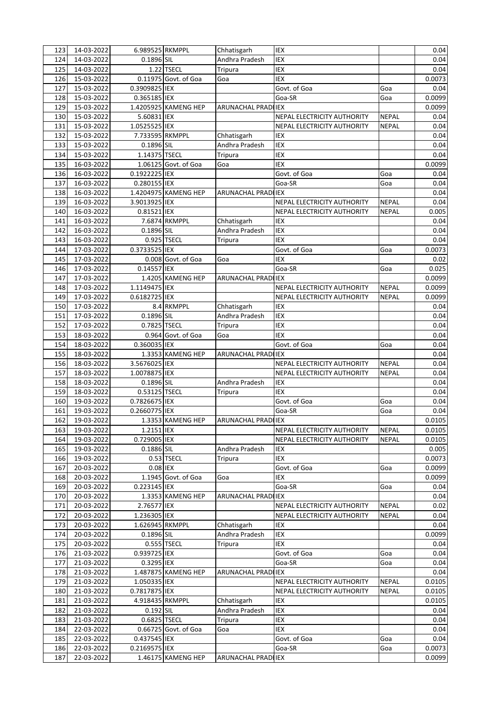| 123        | 14-03-2022 | 6.989525 RKMPPL |                      | Chhatisgarh                | <b>IEX</b>                         |              | 0.04   |
|------------|------------|-----------------|----------------------|----------------------------|------------------------------------|--------------|--------|
| 124        | 14-03-2022 | 0.1896 SIL      |                      | Andhra Pradesh             | IEX                                |              | 0.04   |
| 125        | 14-03-2022 |                 | 1.22 TSECL           | Tripura                    | IEX                                |              | 0.04   |
| 126        | 15-03-2022 |                 | 0.11975 Govt. of Goa | Goa                        | IEX                                |              | 0.0073 |
| 127        | 15-03-2022 | 0.3909825 IEX   |                      |                            | Govt. of Goa                       | Goa          | 0.04   |
| 128        | 15-03-2022 | 0.365185 IEX    |                      |                            | Goa-SR                             | Goa          | 0.0099 |
| 129        | 15-03-2022 |                 | 1.4205925 KAMENG HEP | ARUNACHAL PRADI IEX        |                                    |              | 0.0099 |
| 130        | 15-03-2022 | 5.60831 IEX     |                      |                            | NEPAL ELECTRICITY AUTHORITY        | <b>NEPAL</b> | 0.04   |
| 131        | 15-03-2022 | 1.0525525 IEX   |                      |                            | NEPAL ELECTRICITY AUTHORITY        | <b>NEPAL</b> | 0.04   |
| 132        | 15-03-2022 | 7.733595 RKMPPL |                      | Chhatisgarh                | IEX                                |              | 0.04   |
| 133        | 15-03-2022 | 0.1896 SIL      |                      | Andhra Pradesh             | IEX                                |              | 0.04   |
| 134        | 15-03-2022 | 1.14375 TSECL   |                      | Tripura                    | IEX                                |              | 0.04   |
| 135        | 16-03-2022 |                 | 1.06125 Govt. of Goa | Goa                        | <b>IEX</b>                         |              | 0.0099 |
| 136        | 16-03-2022 | 0.1922225 IEX   |                      |                            | Govt. of Goa                       | Goa          | 0.04   |
| 137        | 16-03-2022 | 0.280155 IEX    |                      |                            | Goa-SR                             | Goa          | 0.04   |
| 138        | 16-03-2022 |                 | 1.4204975 KAMENG HEP | ARUNACHAL PRADI IEX        |                                    |              | 0.04   |
| 139        | 16-03-2022 | 3.9013925 IEX   |                      |                            | NEPAL ELECTRICITY AUTHORITY        | <b>NEPAL</b> | 0.04   |
| 140        | 16-03-2022 | 0.81521 IEX     |                      |                            | <b>NEPAL ELECTRICITY AUTHORITY</b> | <b>NEPAL</b> | 0.005  |
| 141        | 16-03-2022 |                 | 7.6874 RKMPPL        | Chhatisgarh                | IEX                                |              | 0.04   |
| 142        | 16-03-2022 | 0.1896 SIL      |                      | Andhra Pradesh             | IEX                                |              | 0.04   |
|            |            |                 |                      |                            | <b>IEX</b>                         |              |        |
| 143        | 16-03-2022 |                 | 0.925 TSECL          | Tripura                    |                                    |              | 0.04   |
| 144        | 17-03-2022 | 0.3733525 IEX   |                      |                            | Govt. of Goa                       | Goa          | 0.0073 |
| 145        | 17-03-2022 |                 | 0.008 Govt. of Goa   | Goa                        | <b>IEX</b>                         |              | 0.02   |
| 146        | 17-03-2022 | 0.14557 IEX     |                      |                            | Goa-SR                             | Goa          | 0.025  |
| 147        | 17-03-2022 |                 | 1.4205 KAMENG HEP    | ARUNACHAL PRADI IEX        |                                    |              | 0.0099 |
| 148        | 17-03-2022 | 1.1149475 IEX   |                      |                            | NEPAL ELECTRICITY AUTHORITY        | <b>NEPAL</b> | 0.0099 |
| 149        | 17-03-2022 | 0.6182725 IEX   |                      |                            | NEPAL ELECTRICITY AUTHORITY        | <b>NEPAL</b> | 0.0099 |
| 150        | 17-03-2022 |                 | 8.4 RKMPPL           | Chhatisgarh                | IEX                                |              | 0.04   |
| 151        | 17-03-2022 | 0.1896 SIL      |                      | Andhra Pradesh             | <b>IEX</b>                         |              | 0.04   |
| 152        | 17-03-2022 | 0.7825 TSECL    |                      | Tripura                    | <b>IEX</b>                         |              | 0.04   |
| 153        | 18-03-2022 |                 | 0.964 Govt. of Goa   | Goa                        | <b>IEX</b>                         |              | 0.04   |
| 154        | 18-03-2022 | 0.360035 IEX    |                      |                            | Govt. of Goa                       | Goa          | 0.04   |
| 155        | 18-03-2022 |                 | 1.3353 KAMENG HEP    | ARUNACHAL PRADI IEX        |                                    |              | 0.04   |
| 156        | 18-03-2022 | 3.5676025 IEX   |                      |                            | NEPAL ELECTRICITY AUTHORITY        | <b>NEPAL</b> | 0.04   |
| 157        | 18-03-2022 | 1.0078875 IEX   |                      |                            | NEPAL ELECTRICITY AUTHORITY        | <b>NEPAL</b> | 0.04   |
| 158        | 18-03-2022 | 0.1896 SIL      |                      | Andhra Pradesh             | IEX                                |              | 0.04   |
| 159        | 18-03-2022 | 0.53125 TSECL   |                      | Tripura                    | <b>IEX</b>                         |              | 0.04   |
| 160        | 19-03-2022 | 0.7826675 IEX   |                      |                            | Govt. of Goa                       | Goa          | 0.04   |
| 161        | 19-03-2022 | 0.2660775 IEX   |                      |                            | Goa-SR                             | Goa          | 0.04   |
| 162        | 19-03-2022 |                 | 1.3353 KAMENG HEP    | <b>ARUNACHAL PRADI IEX</b> |                                    |              | 0.0105 |
| 163        | 19-03-2022 | 1.2151 IEX      |                      |                            | NEPAL ELECTRICITY AUTHORITY        | <b>NEPAL</b> | 0.0105 |
| 164        | 19-03-2022 | 0.729005 IEX    |                      |                            | NEPAL ELECTRICITY AUTHORITY        | <b>NEPAL</b> | 0.0105 |
| 165        | 19-03-2022 | 0.1886 SIL      |                      | Andhra Pradesh             | IEX                                |              | 0.005  |
| 166        | 19-03-2022 |                 | 0.53 TSECL           | Tripura                    | IEX                                |              | 0.0073 |
| 167        | 20-03-2022 | 0.08 IEX        |                      |                            | Govt. of Goa                       | Goa          | 0.0099 |
| 168        | 20-03-2022 |                 | 1.1945 Govt. of Goa  | Goa                        | IEX                                |              | 0.0099 |
| 169        | 20-03-2022 | 0.223145 IEX    |                      |                            | Goa-SR                             | Goa          | 0.04   |
|            | 20-03-2022 |                 | 1.3353 KAMENG HEP    | <b>ARUNACHAL PRADIIEX</b>  |                                    |              | 0.04   |
| 170<br>171 | 20-03-2022 | 2.76577 IEX     |                      |                            | NEPAL ELECTRICITY AUTHORITY        | <b>NEPAL</b> | 0.02   |
|            | 20-03-2022 |                 |                      |                            |                                    |              |        |
| 172        |            | 1.236305 IEX    |                      |                            | NEPAL ELECTRICITY AUTHORITY        | <b>NEPAL</b> | 0.04   |
| 173        | 20-03-2022 | 1.626945 RKMPPL |                      | Chhatisgarh                | IEX                                |              | 0.04   |
| 174        | 20-03-2022 | 0.1896 SIL      |                      | Andhra Pradesh             | IEX                                |              | 0.0099 |
| 175        | 20-03-2022 |                 | 0.555 TSECL          | Tripura                    | IEX                                |              | 0.04   |
| 176        | 21-03-2022 | 0.939725 IEX    |                      |                            | Govt. of Goa                       | Goa          | 0.04   |
| 177        | 21-03-2022 | 0.3295 IEX      |                      |                            | Goa-SR                             | Goa          | 0.04   |
| 178        | 21-03-2022 |                 | 1.487875 KAMENG HEP  | ARUNACHAL PRAD             | <b>IIEX</b>                        |              | 0.04   |
| 179        | 21-03-2022 | 1.050335 IEX    |                      |                            | NEPAL ELECTRICITY AUTHORITY        | <b>NEPAL</b> | 0.0105 |
| 180        | 21-03-2022 | 0.7817875 IEX   |                      |                            | NEPAL ELECTRICITY AUTHORITY        | <b>NEPAL</b> | 0.0105 |
| 181        | 21-03-2022 | 4.918435 RKMPPL |                      | Chhatisgarh                | IEX                                |              | 0.0105 |
| 182        | 21-03-2022 | 0.192 SIL       |                      | Andhra Pradesh             | IEX                                |              | 0.04   |
| 183        | 21-03-2022 | 0.6825 TSECL    |                      | Tripura                    | IEX                                |              | 0.04   |
| 184        | 22-03-2022 |                 | 0.66725 Govt. of Goa | Goa                        | IEX                                |              | 0.04   |
| 185        | 22-03-2022 | 0.437545 IEX    |                      |                            | Govt. of Goa                       | Goa          | 0.04   |
| 186        | 22-03-2022 | 0.2169575 IEX   |                      |                            | Goa-SR                             | Goa          | 0.0073 |
| 187        | 22-03-2022 |                 | 1.46175 KAMENG HEP   | ARUNACHAL PRADI IEX        |                                    |              | 0.0099 |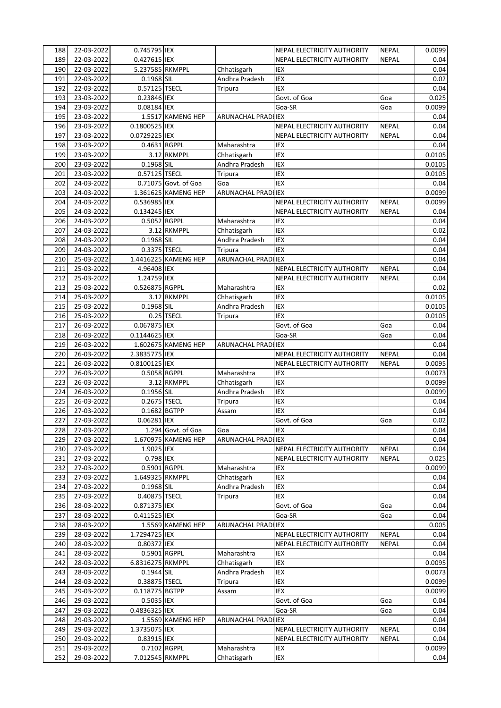| 188 | 22-03-2022 | 0.745795 IEX     |                      |                     | NEPAL ELECTRICITY AUTHORITY | <b>NEPAL</b> | 0.0099 |
|-----|------------|------------------|----------------------|---------------------|-----------------------------|--------------|--------|
| 189 | 22-03-2022 | 0.427615 IEX     |                      |                     | NEPAL ELECTRICITY AUTHORITY | <b>NEPAL</b> | 0.04   |
| 190 | 22-03-2022 | 5.237585 RKMPPL  |                      | Chhatisgarh         | IEX                         |              | 0.04   |
| 191 | 22-03-2022 | 0.1968 SIL       |                      | Andhra Pradesh      | IEX                         |              | 0.02   |
| 192 | 22-03-2022 | 0.57125 TSECL    |                      | Tripura             | <b>IEX</b>                  |              | 0.04   |
| 193 | 23-03-2022 | 0.23846 IEX      |                      |                     | Govt. of Goa                | Goa          | 0.025  |
| 194 | 23-03-2022 | 0.08184 IEX      |                      |                     | Goa-SR                      | Goa          | 0.0099 |
| 195 | 23-03-2022 |                  | 1.5517 KAMENG HEP    | ARUNACHAL PRADIIEX  |                             |              | 0.04   |
| 196 | 23-03-2022 | 0.1800525 IEX    |                      |                     | NEPAL ELECTRICITY AUTHORITY | <b>NEPAL</b> | 0.04   |
| 197 | 23-03-2022 | 0.0729225 IEX    |                      |                     | NEPAL ELECTRICITY AUTHORITY | <b>NEPAL</b> | 0.04   |
|     | 23-03-2022 | 0.4631 RGPPL     |                      |                     | IEX                         |              |        |
| 198 |            |                  |                      | Maharashtra         |                             |              | 0.04   |
| 199 | 23-03-2022 |                  | 3.12 RKMPPL          | Chhatisgarh         | IEX                         |              | 0.0105 |
| 200 | 23-03-2022 | 0.1968 SIL       |                      | Andhra Pradesh      | IEX                         |              | 0.0105 |
| 201 | 23-03-2022 | 0.57125 TSECL    |                      | Tripura             | IEX                         |              | 0.0105 |
| 202 | 24-03-2022 |                  | 0.71075 Govt. of Goa | Goa                 | <b>IEX</b>                  |              | 0.04   |
| 203 | 24-03-2022 |                  | 1.361625 KAMENG HEP  | ARUNACHAL PRADI IEX |                             |              | 0.0099 |
| 204 | 24-03-2022 | 0.536985 IEX     |                      |                     | NEPAL ELECTRICITY AUTHORITY | <b>NEPAL</b> | 0.0099 |
| 205 | 24-03-2022 | 0.134245 IEX     |                      |                     | NEPAL ELECTRICITY AUTHORITY | <b>NEPAL</b> | 0.04   |
| 206 | 24-03-2022 | 0.5052 RGPPL     |                      | Maharashtra         | IEX                         |              | 0.04   |
| 207 | 24-03-2022 |                  | 3.12 RKMPPL          | Chhatisgarh         | IEX                         |              | 0.02   |
| 208 | 24-03-2022 | 0.1968 SIL       |                      | Andhra Pradesh      | <b>IEX</b>                  |              | 0.04   |
| 209 | 24-03-2022 | 0.3375 TSECL     |                      | Tripura             | <b>IEX</b>                  |              | 0.04   |
| 210 | 25-03-2022 |                  | 1.4416225 KAMENG HEP | ARUNACHAL PRADI IEX |                             |              | 0.04   |
| 211 | 25-03-2022 | 4.96408 IEX      |                      |                     | NEPAL ELECTRICITY AUTHORITY | <b>NEPAL</b> | 0.04   |
| 212 | 25-03-2022 | 1.24759 IEX      |                      |                     | NEPAL ELECTRICITY AUTHORITY | <b>NEPAL</b> | 0.04   |
|     |            |                  |                      |                     |                             |              |        |
| 213 | 25-03-2022 | 0.526875 RGPPL   |                      | Maharashtra         | <b>IEX</b>                  |              | 0.02   |
| 214 | 25-03-2022 |                  | 3.12 RKMPPL          | Chhatisgarh         | IEX                         |              | 0.0105 |
| 215 | 25-03-2022 | 0.1968 SIL       |                      | Andhra Pradesh      | IEX                         |              | 0.0105 |
| 216 | 25-03-2022 |                  | 0.25 TSECL           | Tripura             | <b>IEX</b>                  |              | 0.0105 |
| 217 | 26-03-2022 | 0.067875 IEX     |                      |                     | Govt. of Goa                | Goa          | 0.04   |
| 218 | 26-03-2022 | 0.1144625 IEX    |                      |                     | Goa-SR                      | Goa          | 0.04   |
| 219 | 26-03-2022 |                  | 1.602675 KAMENG HEP  | ARUNACHAL PRADI IEX |                             |              | 0.04   |
| 220 | 26-03-2022 | 2.3835775 IEX    |                      |                     | NEPAL ELECTRICITY AUTHORITY | <b>NEPAL</b> | 0.04   |
| 221 | 26-03-2022 | 0.8100125 IEX    |                      |                     | NEPAL ELECTRICITY AUTHORITY | <b>NEPAL</b> | 0.0095 |
| 222 | 26-03-2022 | 0.5058 RGPPL     |                      | Maharashtra         | IEX                         |              | 0.0073 |
| 223 | 26-03-2022 |                  | 3.12 RKMPPL          | Chhatisgarh         | IEX                         |              | 0.0099 |
| 224 | 26-03-2022 | 0.1956 SIL       |                      | Andhra Pradesh      | <b>IEX</b>                  |              | 0.0099 |
| 225 | 26-03-2022 | 0.2675 TSECL     |                      | Tripura             | <b>IEX</b>                  |              | 0.04   |
| 226 | 27-03-2022 | 0.1682 BGTPP     |                      | Assam               | <b>IEX</b>                  |              | 0.04   |
| 227 | 27-03-2022 | 0.06281 IEX      |                      |                     | Govt. of Goa                | Goa          | 0.02   |
| 228 | 27-03-2022 |                  | 1.294 Govt. of Goa   | Goa                 | IEX                         |              | 0.04   |
| 229 | 27-03-2022 |                  | 1.670975 KAMENG HEP  | ARUNACHAL PRADI IEX |                             |              | 0.04   |
| 230 | 27-03-2022 | 1.9025 IEX       |                      |                     | NEPAL ELECTRICITY AUTHORITY | <b>NEPAL</b> | 0.04   |
| 231 | 27-03-2022 | 0.798 IEX        |                      |                     | NEPAL ELECTRICITY AUTHORITY | <b>NEPAL</b> | 0.025  |
|     |            |                  |                      |                     |                             |              |        |
| 232 | 27-03-2022 | 0.5901 RGPPL     |                      | Maharashtra         | IEX                         |              | 0.0099 |
| 233 | 27-03-2022 | 1.649325 RKMPPL  |                      | Chhatisgarh         | IEX                         |              | 0.04   |
| 234 | 27-03-2022 | 0.1968 SIL       |                      | Andhra Pradesh      | IEX                         |              | 0.04   |
| 235 | 27-03-2022 | 0.40875 TSECL    |                      | <b>Tripura</b>      | IEX                         |              | 0.04   |
| 236 | 28-03-2022 | 0.871375 IEX     |                      |                     | Govt. of Goa                | Goa          | 0.04   |
| 237 | 28-03-2022 | 0.411525 IEX     |                      |                     | Goa-SR                      | Goa          | 0.04   |
| 238 | 28-03-2022 |                  | 1.5569 KAMENG HEP    | ARUNACHAL PRADIIEX  |                             |              | 0.005  |
| 239 | 28-03-2022 | 1.7294725 IEX    |                      |                     | NEPAL ELECTRICITY AUTHORITY | <b>NEPAL</b> | 0.04   |
| 240 | 28-03-2022 | 0.80372 IEX      |                      |                     | NEPAL ELECTRICITY AUTHORITY | <b>NEPAL</b> | 0.04   |
| 241 | 28-03-2022 | 0.5901 RGPPL     |                      | Maharashtra         | IEX                         |              | 0.04   |
| 242 | 28-03-2022 | 6.8316275 RKMPPL |                      | Chhatisgarh         | IEX                         |              | 0.0095 |
| 243 | 28-03-2022 | 0.1944 SIL       |                      | Andhra Pradesh      | IEX                         |              | 0.0073 |
| 244 | 28-03-2022 | 0.38875 TSECL    |                      | Tripura             | IEX                         |              | 0.0099 |
| 245 | 29-03-2022 | 0.118775 BGTPP   |                      | Assam               | IEX                         |              | 0.0099 |
| 246 | 29-03-2022 | 0.5035 IEX       |                      |                     | Govt. of Goa                | Goa          | 0.04   |
| 247 | 29-03-2022 | 0.4836325 IEX    |                      |                     | Goa-SR                      | Goa          | 0.04   |
| 248 | 29-03-2022 |                  | 1.5569 KAMENG HEP    | ARUNACHAL PRADI IEX |                             |              | 0.04   |
| 249 | 29-03-2022 | 1.3735075 IEX    |                      |                     | NEPAL ELECTRICITY AUTHORITY | <b>NEPAL</b> | 0.04   |
| 250 | 29-03-2022 | 0.83915 IEX      |                      |                     | NEPAL ELECTRICITY AUTHORITY | <b>NEPAL</b> | 0.04   |
|     |            |                  |                      |                     |                             |              |        |
| 251 | 29-03-2022 | 0.7102 RGPPL     |                      | Maharashtra         | IEX                         |              | 0.0099 |
| 252 | 29-03-2022 | 7.012545 RKMPPL  |                      | Chhatisgarh         | IEX                         |              | 0.04   |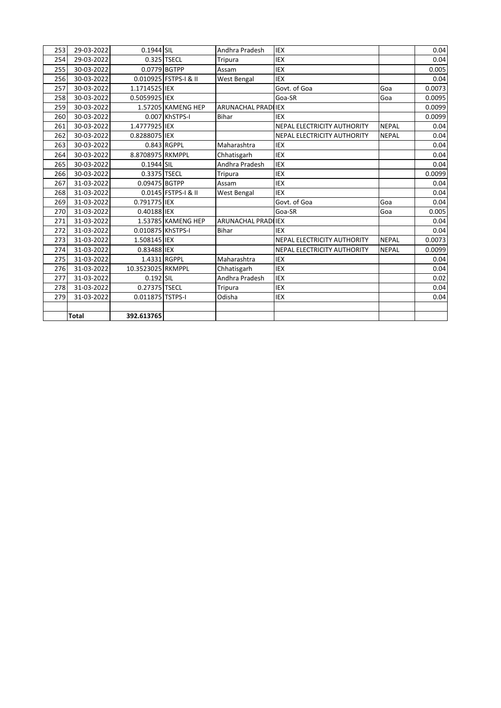| 29-03-2022<br>0.1944 SIL<br>Andhra Pradesh<br><b>IEX</b><br>253<br>29-03-2022<br>0.325 TSECL<br>254<br><b>IEX</b><br><b>Tripura</b><br>0.0779 BGTPP<br>30-03-2022<br><b>IEX</b><br>255<br>Assam<br>0.010925 FSTPS-I & II<br><b>IEX</b><br>30-03-2022<br>West Bengal<br>256<br>Govt. of Goa<br>30-03-2022<br>1.1714525 IEX<br>Goa<br>257<br>30-03-2022<br>0.5059925 IEX<br>Goa<br>258<br>Goa-SR<br>259<br>30-03-2022<br>1.57205 KAMENG HEP<br><b>ARUNACHAL PRADILIEX</b><br>30-03-2022<br>0.007 KhSTPS-I<br>260<br><b>Bihar</b><br><b>IEX</b><br>30-03-2022<br>1.4777925 IEX<br><b>NEPAL</b><br>NEPAL ELECTRICITY AUTHORITY<br>261<br>30-03-2022<br>0.8288075 IEX<br>NEPAL ELECTRICITY AUTHORITY<br><b>NEPAL</b><br>262<br>30-03-2022<br>Maharashtra<br>263<br>0.843 RGPPL<br><b>IEX</b><br>30-03-2022<br>8.8708975 RKMPPL<br><b>IEX</b><br>Chhatisgarh<br>264<br>30-03-2022<br>Andhra Pradesh<br><b>IEX</b><br>0.1944 SIL<br>265<br>0.3375 TSECL<br>266<br>30-03-2022<br><b>IEX</b><br>Tripura<br>0.09475 BGTPP<br>31-03-2022<br>267<br><b>IEX</b><br>Assam<br>0.0145 FSTPS-I & II<br>31-03-2022<br><b>IEX</b><br>268<br>West Bengal<br>0.791775 IEX<br>269<br>31-03-2022<br>Govt. of Goa<br>Goa<br>270<br>31-03-2022<br>0.40188 IEX<br>Goa-SR<br>Goa<br>31-03-2022<br>1.53785 KAMENG HEP<br>271<br><b>ARUNACHAL PRADILEX</b><br>31-03-2022<br>0.010875 KhSTPS-I<br><b>IEX</b><br>272<br><b>Bihar</b><br><b>NEPAL</b><br>31-03-2022<br>1.508145 IEX<br>NEPAL ELECTRICITY AUTHORITY<br>273<br>0.83488 IEX<br>274<br>31-03-2022<br><b>NEPAL</b><br>NEPAL ELECTRICITY AUTHORITY<br>31-03-2022<br>1.4331 RGPPL<br>Maharashtra<br>275<br>IEX<br>31-03-2022<br>10.3523025 RKMPPL<br>Chhatisgarh<br><b>IEX</b><br>276<br>Andhra Pradesh<br>277<br>31-03-2022<br>$0.192$ SIL<br><b>IEX</b><br>31-03-2022<br>0.27375 TSECL<br><b>IEX</b><br>278<br>Tripura<br>31-03-2022<br>0.011875 TSTPS-I<br>Odisha<br><b>IEX</b><br>279<br><b>Total</b><br>392.613765 |  |  |  |        |
|--------------------------------------------------------------------------------------------------------------------------------------------------------------------------------------------------------------------------------------------------------------------------------------------------------------------------------------------------------------------------------------------------------------------------------------------------------------------------------------------------------------------------------------------------------------------------------------------------------------------------------------------------------------------------------------------------------------------------------------------------------------------------------------------------------------------------------------------------------------------------------------------------------------------------------------------------------------------------------------------------------------------------------------------------------------------------------------------------------------------------------------------------------------------------------------------------------------------------------------------------------------------------------------------------------------------------------------------------------------------------------------------------------------------------------------------------------------------------------------------------------------------------------------------------------------------------------------------------------------------------------------------------------------------------------------------------------------------------------------------------------------------------------------------------------------------------------------------------------------------------------------------------------------------------------------------------|--|--|--|--------|
|                                                                                                                                                                                                                                                                                                                                                                                                                                                                                                                                                                                                                                                                                                                                                                                                                                                                                                                                                                                                                                                                                                                                                                                                                                                                                                                                                                                                                                                                                                                                                                                                                                                                                                                                                                                                                                                                                                                                                  |  |  |  | 0.04   |
|                                                                                                                                                                                                                                                                                                                                                                                                                                                                                                                                                                                                                                                                                                                                                                                                                                                                                                                                                                                                                                                                                                                                                                                                                                                                                                                                                                                                                                                                                                                                                                                                                                                                                                                                                                                                                                                                                                                                                  |  |  |  | 0.04   |
|                                                                                                                                                                                                                                                                                                                                                                                                                                                                                                                                                                                                                                                                                                                                                                                                                                                                                                                                                                                                                                                                                                                                                                                                                                                                                                                                                                                                                                                                                                                                                                                                                                                                                                                                                                                                                                                                                                                                                  |  |  |  | 0.005  |
|                                                                                                                                                                                                                                                                                                                                                                                                                                                                                                                                                                                                                                                                                                                                                                                                                                                                                                                                                                                                                                                                                                                                                                                                                                                                                                                                                                                                                                                                                                                                                                                                                                                                                                                                                                                                                                                                                                                                                  |  |  |  | 0.04   |
|                                                                                                                                                                                                                                                                                                                                                                                                                                                                                                                                                                                                                                                                                                                                                                                                                                                                                                                                                                                                                                                                                                                                                                                                                                                                                                                                                                                                                                                                                                                                                                                                                                                                                                                                                                                                                                                                                                                                                  |  |  |  | 0.0073 |
|                                                                                                                                                                                                                                                                                                                                                                                                                                                                                                                                                                                                                                                                                                                                                                                                                                                                                                                                                                                                                                                                                                                                                                                                                                                                                                                                                                                                                                                                                                                                                                                                                                                                                                                                                                                                                                                                                                                                                  |  |  |  | 0.0095 |
|                                                                                                                                                                                                                                                                                                                                                                                                                                                                                                                                                                                                                                                                                                                                                                                                                                                                                                                                                                                                                                                                                                                                                                                                                                                                                                                                                                                                                                                                                                                                                                                                                                                                                                                                                                                                                                                                                                                                                  |  |  |  | 0.0099 |
|                                                                                                                                                                                                                                                                                                                                                                                                                                                                                                                                                                                                                                                                                                                                                                                                                                                                                                                                                                                                                                                                                                                                                                                                                                                                                                                                                                                                                                                                                                                                                                                                                                                                                                                                                                                                                                                                                                                                                  |  |  |  | 0.0099 |
|                                                                                                                                                                                                                                                                                                                                                                                                                                                                                                                                                                                                                                                                                                                                                                                                                                                                                                                                                                                                                                                                                                                                                                                                                                                                                                                                                                                                                                                                                                                                                                                                                                                                                                                                                                                                                                                                                                                                                  |  |  |  | 0.04   |
|                                                                                                                                                                                                                                                                                                                                                                                                                                                                                                                                                                                                                                                                                                                                                                                                                                                                                                                                                                                                                                                                                                                                                                                                                                                                                                                                                                                                                                                                                                                                                                                                                                                                                                                                                                                                                                                                                                                                                  |  |  |  | 0.04   |
|                                                                                                                                                                                                                                                                                                                                                                                                                                                                                                                                                                                                                                                                                                                                                                                                                                                                                                                                                                                                                                                                                                                                                                                                                                                                                                                                                                                                                                                                                                                                                                                                                                                                                                                                                                                                                                                                                                                                                  |  |  |  | 0.04   |
|                                                                                                                                                                                                                                                                                                                                                                                                                                                                                                                                                                                                                                                                                                                                                                                                                                                                                                                                                                                                                                                                                                                                                                                                                                                                                                                                                                                                                                                                                                                                                                                                                                                                                                                                                                                                                                                                                                                                                  |  |  |  | 0.04   |
|                                                                                                                                                                                                                                                                                                                                                                                                                                                                                                                                                                                                                                                                                                                                                                                                                                                                                                                                                                                                                                                                                                                                                                                                                                                                                                                                                                                                                                                                                                                                                                                                                                                                                                                                                                                                                                                                                                                                                  |  |  |  | 0.04   |
|                                                                                                                                                                                                                                                                                                                                                                                                                                                                                                                                                                                                                                                                                                                                                                                                                                                                                                                                                                                                                                                                                                                                                                                                                                                                                                                                                                                                                                                                                                                                                                                                                                                                                                                                                                                                                                                                                                                                                  |  |  |  | 0.0099 |
|                                                                                                                                                                                                                                                                                                                                                                                                                                                                                                                                                                                                                                                                                                                                                                                                                                                                                                                                                                                                                                                                                                                                                                                                                                                                                                                                                                                                                                                                                                                                                                                                                                                                                                                                                                                                                                                                                                                                                  |  |  |  | 0.04   |
|                                                                                                                                                                                                                                                                                                                                                                                                                                                                                                                                                                                                                                                                                                                                                                                                                                                                                                                                                                                                                                                                                                                                                                                                                                                                                                                                                                                                                                                                                                                                                                                                                                                                                                                                                                                                                                                                                                                                                  |  |  |  | 0.04   |
|                                                                                                                                                                                                                                                                                                                                                                                                                                                                                                                                                                                                                                                                                                                                                                                                                                                                                                                                                                                                                                                                                                                                                                                                                                                                                                                                                                                                                                                                                                                                                                                                                                                                                                                                                                                                                                                                                                                                                  |  |  |  | 0.04   |
|                                                                                                                                                                                                                                                                                                                                                                                                                                                                                                                                                                                                                                                                                                                                                                                                                                                                                                                                                                                                                                                                                                                                                                                                                                                                                                                                                                                                                                                                                                                                                                                                                                                                                                                                                                                                                                                                                                                                                  |  |  |  | 0.005  |
|                                                                                                                                                                                                                                                                                                                                                                                                                                                                                                                                                                                                                                                                                                                                                                                                                                                                                                                                                                                                                                                                                                                                                                                                                                                                                                                                                                                                                                                                                                                                                                                                                                                                                                                                                                                                                                                                                                                                                  |  |  |  | 0.04   |
|                                                                                                                                                                                                                                                                                                                                                                                                                                                                                                                                                                                                                                                                                                                                                                                                                                                                                                                                                                                                                                                                                                                                                                                                                                                                                                                                                                                                                                                                                                                                                                                                                                                                                                                                                                                                                                                                                                                                                  |  |  |  | 0.04   |
|                                                                                                                                                                                                                                                                                                                                                                                                                                                                                                                                                                                                                                                                                                                                                                                                                                                                                                                                                                                                                                                                                                                                                                                                                                                                                                                                                                                                                                                                                                                                                                                                                                                                                                                                                                                                                                                                                                                                                  |  |  |  | 0.0073 |
|                                                                                                                                                                                                                                                                                                                                                                                                                                                                                                                                                                                                                                                                                                                                                                                                                                                                                                                                                                                                                                                                                                                                                                                                                                                                                                                                                                                                                                                                                                                                                                                                                                                                                                                                                                                                                                                                                                                                                  |  |  |  | 0.0099 |
|                                                                                                                                                                                                                                                                                                                                                                                                                                                                                                                                                                                                                                                                                                                                                                                                                                                                                                                                                                                                                                                                                                                                                                                                                                                                                                                                                                                                                                                                                                                                                                                                                                                                                                                                                                                                                                                                                                                                                  |  |  |  | 0.04   |
|                                                                                                                                                                                                                                                                                                                                                                                                                                                                                                                                                                                                                                                                                                                                                                                                                                                                                                                                                                                                                                                                                                                                                                                                                                                                                                                                                                                                                                                                                                                                                                                                                                                                                                                                                                                                                                                                                                                                                  |  |  |  | 0.04   |
|                                                                                                                                                                                                                                                                                                                                                                                                                                                                                                                                                                                                                                                                                                                                                                                                                                                                                                                                                                                                                                                                                                                                                                                                                                                                                                                                                                                                                                                                                                                                                                                                                                                                                                                                                                                                                                                                                                                                                  |  |  |  | 0.02   |
|                                                                                                                                                                                                                                                                                                                                                                                                                                                                                                                                                                                                                                                                                                                                                                                                                                                                                                                                                                                                                                                                                                                                                                                                                                                                                                                                                                                                                                                                                                                                                                                                                                                                                                                                                                                                                                                                                                                                                  |  |  |  | 0.04   |
|                                                                                                                                                                                                                                                                                                                                                                                                                                                                                                                                                                                                                                                                                                                                                                                                                                                                                                                                                                                                                                                                                                                                                                                                                                                                                                                                                                                                                                                                                                                                                                                                                                                                                                                                                                                                                                                                                                                                                  |  |  |  | 0.04   |
|                                                                                                                                                                                                                                                                                                                                                                                                                                                                                                                                                                                                                                                                                                                                                                                                                                                                                                                                                                                                                                                                                                                                                                                                                                                                                                                                                                                                                                                                                                                                                                                                                                                                                                                                                                                                                                                                                                                                                  |  |  |  |        |
|                                                                                                                                                                                                                                                                                                                                                                                                                                                                                                                                                                                                                                                                                                                                                                                                                                                                                                                                                                                                                                                                                                                                                                                                                                                                                                                                                                                                                                                                                                                                                                                                                                                                                                                                                                                                                                                                                                                                                  |  |  |  |        |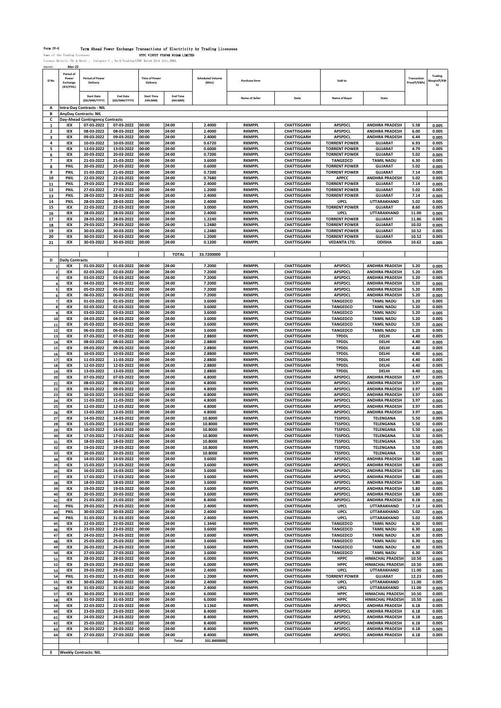Form IV-G Term Ahead Power Exchange Transactions of Electricity by Trading Licensees Name of the Trading Licensee: NTPC VIDYUT VYAPAR NIGAM LIMITED Licence Details (No & Date) : Category-I ; No.6/Trading/CERC Dated 23rd July,2004.

| Month:                   | Mar-22                         |                                                 |                          |                                  |                 |                                  |                                |                                          |                                         |                                                |                             |                        |
|--------------------------|--------------------------------|-------------------------------------------------|--------------------------|----------------------------------|-----------------|----------------------------------|--------------------------------|------------------------------------------|-----------------------------------------|------------------------------------------------|-----------------------------|------------------------|
| SI <sub>No</sub>         | Period of<br>Power<br>Exchange | <b>Period of Power</b><br>Delivery              |                          | <b>Time of Power</b><br>Delivery |                 | <b>Scheduled Volume</b><br>(MUs) | Purchase form                  |                                          | Sold to                                 |                                                | Transaction<br>Price(₹/KWh) | Trading<br>Aargin(₹/KW |
|                          | (IEX/PXIL)                     | <b>Start Date</b>                               | <b>End Date</b>          | <b>Start Time</b>                | <b>Fnd Time</b> |                                  | <b>Name of Seller</b>          | State                                    | Name of Buver                           | State                                          |                             | h)                     |
| A                        |                                | (DD/MM/YYYY)<br><b>Intra-Day Contracts: NIL</b> | (DD/MM/YYYY)             | (HH:MM)                          | (HH:MM)         |                                  |                                |                                          |                                         |                                                |                             |                        |
| В                        |                                | <b>AnyDay Contracts: NIL</b>                    |                          |                                  |                 |                                  |                                |                                          |                                         |                                                |                             |                        |
| С                        |                                | Day-Ahead Contingency Contracts                 |                          |                                  |                 |                                  |                                |                                          |                                         |                                                |                             |                        |
| 1                        | IEX                            | 07-03-2022                                      | 07-03-2022               | 00:00                            | 24:00           | 2.4000                           | <b>RKMPPL</b>                  | <b>CHATTISGARH</b>                       | <b>APSPDCL</b>                          | <b>ANDHRA PRADESH</b>                          | 5.58                        | 0.005                  |
| $\overline{a}$           | IEX                            | 08-03-2022                                      | 08-03-2022               | 00:00                            | 24:00           | 2.4000                           | <b>RKMPPL</b>                  | <b>CHATTISGARH</b>                       | <b>APSPDCL</b>                          | <b>ANDHRA PRADESH</b>                          | 6.00                        | 0.005                  |
| з                        | IEX                            | 09-03-2022                                      | 09-03-2022               | 00:00                            | 24:00           | 2.4000                           | <b>RKMPPL</b>                  | <b>CHATTISGARH</b>                       | <b>APSPDCL</b>                          | <b>ANDHRA PRADESH</b>                          | 6.44                        | 0.005                  |
| 4                        | IEX                            | 10-03-2022                                      | 10-03-2022               | 00:00                            | 24:00           | 0.6720                           | <b>RKMPPL</b>                  | <b>CHATTISGARH</b>                       | <b>TORRENT POWER</b>                    | <b>GUJARAT</b>                                 | 6.93                        | 0.005                  |
| 5                        | IEX                            | 13-03-2022                                      | 13-03-2022<br>20-03-2022 | 00:00                            | 24:00           | 0.6000                           | <b>RKMPPL</b>                  | <b>CHATTISGARH</b><br><b>CHATTISGARH</b> | <b>TORRENT POWER</b>                    | <b>GUJARAT</b>                                 | 4.79                        | 0.005                  |
| 6<br>7                   | IEX<br>IEX                     | 20-03-2022<br>21-03-2022                        | 21-03-2022               | 00:00<br>00:00                   | 24:00<br>24:00  | 0.7200<br>3.6000                 | <b>RKMPPL</b><br><b>RKMPPL</b> | <b>CHATTISGARH</b>                       | <b>TORRENT POWER</b><br><b>TANGEDCO</b> | <b>GUJARAT</b><br><b>TAMIL NADU</b>            | 5.02<br>6.30                | 0.005<br>0.005         |
| 8                        | <b>PXIL</b>                    | 20-03-2022                                      | 20-03-2022               | 00:00                            | 24:00           | 0.6000                           | <b>RKMPPL</b>                  | <b>CHATTISGARH</b>                       | <b>TORRENT POWER</b>                    | <b>GUJARAT</b>                                 | 5.02                        | 0.005                  |
| 9                        | PXIL                           | 21-03-2022                                      | 21-03-2022               | 00:00                            | 24:00           | 0.7200                           | <b>RKMPPL</b>                  | <b>CHATTISGARH</b>                       | <b>TORRENT POWER</b>                    | <b>GUJARAT</b>                                 | 7.14                        | 0.005                  |
| 10                       | <b>PXIL</b>                    | 22-03-2022                                      | 22-03-2022               | 00:00                            | 24:00           | 0.7680                           | <b>RKMPPL</b>                  | <b>CHATTISGARH</b>                       | <b>APPCC</b>                            | <b>ANDHRA PRADESH</b>                          | 5.02                        | 0.005                  |
| 11                       | <b>PXIL</b>                    | 29-03-2022                                      | 29-03-2022               | 00:00                            | 24:00           | 2.4000                           | <b>RKMPPL</b>                  | <b>CHATTISGARH</b>                       | <b>TORRENT POWER</b>                    | <b>GUJARAT</b>                                 | 7.14                        | 0.005                  |
| 12                       | <b>PXIL</b>                    | 27-03-2022                                      | 27-03-2022               | 00:00                            | 24:00           | 1.2000                           | <b>RKMPPL</b>                  | <b>CHATTISGARH</b>                       | <b>TORRENT POWER</b>                    | <b>GUJARAT</b>                                 | 5.02                        | 0.005                  |
| 13                       | <b>PXIL</b>                    | 28-03-2022                                      | 28-03-2022               | 00:00                            | 24:00           | 2.4000                           | <b>RKMPPL</b>                  | <b>CHATTISGARH</b>                       | <b>TORRENT POWER</b>                    | <b>GUJARAT</b>                                 | 7.14                        | 0.005                  |
| 14                       | <b>PXIL</b>                    | 28-03-2022                                      | 28-03-2022               | 00:00                            | 24:00           | 2.4000                           | <b>RKMPPL</b>                  | <b>CHATTISGARH</b>                       | UPCL                                    | UTTARAKHAND                                    | 5.02                        | 0.005                  |
| 15                       | IEX                            | 22-03-2022                                      | 22-03-2022               | 00:00                            | 24:00           | 3.0000                           | <b>RKMPPL</b>                  | <b>CHATTISGARH</b>                       | <b>TORRENT POWER</b>                    | <b>GUJARAT</b>                                 | 8.60                        | 0.005                  |
| 16<br>17                 | IEX<br>IEX                     | 28-03-2022<br>28-03-2022                        | 28-03-2022<br>28-03-2022 | 00:00<br>00:00                   | 24:00<br>24:00  | 2.4000<br>1.2240                 | <b>RKMPPL</b><br><b>RKMPPL</b> | <b>CHATTISGARH</b><br><b>CHATTISGARH</b> | <b>UPCL</b><br><b>TORRENT POWER</b>     | <b>UTTARAKHAND</b><br><b>GUJARAT</b>           | 11.00<br>11.86              | 0.005<br>0.005         |
| 18                       | IEX                            | 29-03-2022                                      | 29-03-2022               | 00:00                            | 24:00           | 1.2480                           | <b>RKMPPL</b>                  | <b>CHATTISGARH</b>                       | <b>TORRENT POWER</b>                    | <b>GUJARAT</b>                                 | 10.02                       | 0.005                  |
| 19                       | IEX                            | 30-03-2022                                      | 30-03-2022               | 00:00                            | 24:00           | 1.2480                           | <b>RKMPPL</b>                  | <b>CHATTISGARH</b>                       | <b>TORRENT POWER</b>                    | <b>GUJARAT</b>                                 | 10.52                       | 0.005                  |
| 20                       | IEX                            | 30-03-2022                                      | 30-03-2022               | 00:00                            | 24:00           | 1.2000                           | <b>RKMPPL</b>                  | <b>CHATTISGARH</b>                       | <b>TORRENT POWER</b>                    | <b>GUJARAT</b>                                 | 10.52                       | 0.005                  |
| 21                       | IEX                            | 30-03-2022                                      | 30-03-2022               | 00:00                            | 24:00           | 0.1200                           | <b>RKMPPL</b>                  | <b>CHATTISGARH</b>                       | <b>VEDANTA LTD.</b>                     | <b>ODISHA</b>                                  | 10.62                       | 0.005                  |
|                          |                                |                                                 |                          |                                  |                 |                                  |                                |                                          |                                         |                                                |                             |                        |
|                          |                                |                                                 |                          |                                  | <b>TOTAL</b>    | 33.7200000                       |                                |                                          |                                         |                                                |                             |                        |
| D                        | <b>Daily Contracts</b>         |                                                 |                          |                                  |                 |                                  |                                |                                          |                                         |                                                |                             |                        |
|                          | IEX                            | 01-03-2022                                      | 01-03-2022               | 00:00                            | 24:00           | 7.2000                           | <b>RKMPPL</b>                  | <b>CHATTISGARH</b>                       | <b>APSPDCL</b>                          | <b>ANDHRA PRADESH</b>                          | 5.20                        | 0.005                  |
| $\overline{2}$           | IEX                            | 02-03-2022                                      | 02-03-2022               | 00:00                            | 24:00           | 7.2000                           | <b>RKMPPL</b>                  | <b>CHATTISGARH</b>                       | <b>APSPDCL</b>                          | <b>ANDHRA PRADESH</b>                          | 5.20                        | 0.005                  |
| 3                        | IEX                            | 03-03-2022                                      | 03-03-2022<br>04-03-2022 | 00:00                            | 24:00           | 7.2000                           | <b>RKMPPL</b>                  | <b>CHATTISGARH</b>                       | <b>APSPDCL</b>                          | <b>ANDHRA PRADESH</b><br><b>ANDHRA PRADESH</b> | 5.20                        | 0.005                  |
| 4<br>5                   | IEX<br>IEX                     | 04-03-2022<br>05-03-2022                        | 05-03-2022               | 00:00<br>00:00                   | 24:00<br>24:00  | 7.2000<br>7.2000                 | <b>RKMPPL</b><br><b>RKMPPL</b> | <b>CHATTISGARH</b><br><b>CHATTISGARH</b> | <b>APSPDCL</b><br><b>APSPDCL</b>        | <b>ANDHRA PRADESH</b>                          | 5.20<br>5.20                | 0.005<br>0.005         |
| 6                        | IEX                            | 06-03-2022                                      | 06-03-2022               | 00:00                            | 24:00           | 7.2000                           | <b>RKMPPL</b>                  | <b>CHATTISGARH</b>                       | <b>APSPDCL</b>                          | <b>ANDHRA PRADESH</b>                          | 5.20                        | 0.005                  |
| $\overline{\phantom{a}}$ | IEX                            | 01-03-2022                                      | 01-03-2022               | 00:00                            | 24:00           | 3.6000                           | <b>RKMPPL</b>                  | <b>CHATTISGARH</b>                       | <b>TANGEDCO</b>                         | <b>TAMIL NADU</b>                              | 5.20                        | 0.005                  |
| 8                        | IEX                            | 02-03-2022                                      | 02-03-2022               | 00:00                            | 24:00           | 3.6000                           | <b>RKMPPL</b>                  | <b>CHATTISGARH</b>                       | <b>TANGEDCO</b>                         | <b>TAMIL NADU</b>                              | 5.20                        | 0.005                  |
| 9                        | IEX                            | 03-03-2022                                      | 03-03-2022               | 00:00                            | 24:00           | 3.6000                           | <b>RKMPPL</b>                  | <b>CHATTISGARH</b>                       | <b>TANGEDCO</b>                         | <b>TAMIL NADU</b>                              | 5.20                        | 0.005                  |
| 10                       | IEX                            | 04-03-2022                                      | 04-03-2022               | 00:00                            | 24:00           | 3.6000                           | <b>RKMPPL</b>                  | <b>CHATTISGARH</b>                       | <b>TANGEDCO</b>                         | <b>TAMIL NADU</b>                              | 5.20                        | 0.005                  |
| ${\bf 11}$               | IEX                            | 05-03-2022                                      | 05-03-2022               | 00:00                            | 24:00           | 3.6000                           | <b>RKMPPL</b>                  | <b>CHATTISGARH</b>                       | <b>TANGEDCO</b>                         | <b>TAMIL NADU</b>                              | 5.20                        | 0.005                  |
| 12                       | IEX                            | 06-03-2022                                      | 06-03-2022               | 00:00                            | 24:00           | 3.6000                           | <b>RKMPPL</b>                  | <b>CHATTISGARH</b>                       | <b>TANGEDCO</b>                         | <b>TAMIL NADU</b>                              | 5.20                        | 0.005                  |
| 13                       | IEX                            | 07-03-2022                                      | 07-03-2022               | 00:00                            | 24:00           | 2.8800                           | <b>RKMPPL</b>                  | <b>CHATTISGARH</b>                       | <b>TPDDL</b>                            | DELHI                                          | 4.40                        | 0.005                  |
| 14                       | IEX                            | 08-03-2022                                      | 08-03-2022               | 00:00                            | 24:00           | 2.8800                           | <b>RKMPPL</b>                  | <b>CHATTISGARH</b>                       | <b>TPDDL</b>                            | DELHI                                          | 4.40                        | 0.005                  |
| 15                       | IEX<br>IEX                     | 09-03-2022                                      | 09-03-2022               | 00:00                            | 24:00<br>24:00  | 2.8800                           | <b>RKMPPL</b>                  | <b>CHATTISGARH</b>                       | <b>TPDDL</b><br><b>TPDDL</b>            | DELHI                                          | 4.40<br>4.40                | 0.005                  |
| 16<br>17                 | IEX                            | 10-03-2022<br>11-03-2022                        | 10-03-2022<br>11-03-2022 | 00:00<br>00:00                   | 24:00           | 2.8800<br>2.8800                 | <b>RKMPPL</b><br><b>RKMPPL</b> | <b>CHATTISGARH</b><br><b>CHATTISGARH</b> | <b>TPDDL</b>                            | DELHI<br>DELHI                                 | 4.40                        | 0.005<br>0.005         |
| 18                       | IEX                            | 12-03-2022                                      | 12-03-2022               | 00:00                            | 24:00           | 2.8800                           | <b>RKMPPL</b>                  | <b>CHATTISGARH</b>                       | <b>TPDDL</b>                            | DELHI                                          | 4.40                        | 0.005                  |
| 19                       | IEX                            | 13-03-2022                                      | 13-03-2022               | 00:00                            | 24:00           | 2.8800                           | <b>RKMPPL</b>                  | <b>CHATTISGARH</b>                       | <b>TPDDL</b>                            | DELHI                                          | 4.40                        | 0.005                  |
| 20                       | IEX                            | 07-03-2022                                      | 07-03-2022               | 00:00                            | 24:00           | 4.8000                           | <b>RKMPPL</b>                  | <b>CHATTISGARH</b>                       | <b>APSPDCL</b>                          | <b>ANDHRA PRADESH</b>                          | 3.97                        | 0.005                  |
| 21                       | IEX                            | 08-03-2022                                      | 08-03-2022               | 00:00                            | 24:00           | 4.8000                           | <b>RKMPPL</b>                  | <b>CHATTISGARH</b>                       | <b>APSPDCL</b>                          | <b>ANDHRA PRADESH</b>                          | 3.97                        | 0.005                  |
| 22                       | IEX                            | 09-03-2022                                      | 09-03-2022               | 00:00                            | 24:00           | 4.8000                           | <b>RKMPPL</b>                  | <b>CHATTISGARH</b>                       | <b>APSPDCL</b>                          | <b>ANDHRA PRADESH</b>                          | 3.97                        | 0.005                  |
| 23                       | IEX                            | 10-03-2022                                      | 10-03-2022               | 00:00                            | 24:00           | 4.8000                           | <b>RKMPPL</b>                  | <b>CHATTISGARH</b>                       | <b>APSPDCL</b>                          | <b>ANDHRA PRADESH</b>                          | 3.97                        | 0.005                  |
| 24                       | IEX                            | 11-03-2022                                      | 11-03-2022               | 00:00                            | 24:00           | 4.8000                           | <b>RKMPPL</b>                  | <b>CHATTISGARH</b>                       | <b>APSPDCL</b>                          | <b>ANDHRA PRADESH</b>                          | 3.97                        | 0.005                  |
| 25                       | IEX                            | 12-03-2022                                      | 12-03-2022               | 00:00                            | 24:00           | 4.8000                           | <b>RKMPPL</b><br><b>RKMPPL</b> | <b>CHATTISGARH</b>                       | <b>APSPDCL</b>                          | <b>ANDHRA PRADESH</b>                          | 3.97                        | 0.005                  |
| 26<br>27                 | IEX<br>IEX                     | 13-03-2022<br>14-03-2022                        | 13-03-2022<br>14-03-2022 | 00:00<br>00:00                   | 24:00<br>24:00  | 4.8000<br>10.8000                | <b>RKMPPL</b>                  | <b>CHATTISGARH</b><br><b>CHATTISGARH</b> | <b>APSPDCL</b><br><b>TSSPDCL</b>        | <b>ANDHRA PRADESH</b><br><b>TELENGANA</b>      | 3.97<br>5.50                | 0.005<br>0.005         |
| 28                       | IEX                            | 15-03-2022                                      | 15-03-2022               | 00:00                            | 24:00           | 10.8000                          | <b>RKMPPL</b>                  | <b>CHATTISGARH</b>                       | <b>TSSPDCL</b>                          | TELENGANA                                      | 5.50                        | 0.005                  |
| 29                       | IEX                            | 16-03-2022                                      | 16-03-2022               | 00:00                            | 24:00           | 10.8000                          | <b>RKMPPL</b>                  | <b>CHATTISGARH</b>                       | <b>TSSPDCL</b>                          | <b>TELENGANA</b>                               | 5.50                        | 0.005                  |
| 30                       | IEX                            | 17-03-2022                                      | 17-03-2022               | 00:00                            | 24:00           | 10.8000                          | <b>RKMPPL</b>                  | <b>CHATTISGARH</b>                       | <b>TSSPDCL</b>                          | <b>TELENGANA</b>                               | 5.50                        | 0.005                  |
|                          | <b>IFX</b>                     | 18-03-2022                                      | 18-03-2022               | nn-nn                            | 24:00           | 10.8000                          | RKMPD                          | <b>CHATTISGARH</b>                       | <b>TSSPDC</b>                           | <b>TFI FNGANA</b>                              | 5.50                        | 0.005                  |
| 32                       | IEX                            | 19-03-2022                                      | 19-03-2022               | 00:00                            | 24:00           | 10.8000                          | <b>RKMPPL</b>                  | <b>CHATTISGARH</b>                       | <b>TSSPDCL</b>                          | <b>TELENGANA</b>                               | 5.50                        | 0.005                  |
| 33                       | IEX                            | 20-03-2022                                      | 20-03-2022               | 00:00                            | 24:00           | 10.8000                          | <b>RKMPPL</b>                  | <b>CHATTISGARH</b>                       | <b>TSSPDCL</b>                          | TELENGANA                                      | 5.50                        | 0.005                  |
| 34                       | IEX                            | 14-03-2022                                      | 14-03-2022               | 00:00                            | 24:00           | 3.6000                           | <b>RKMPPL</b>                  | <b>CHATTISGARH</b>                       | <b>APSPDCL</b>                          | <b>ANDHRA PRADESH</b>                          | 5.80                        | 0.005                  |
| 35                       | IEX                            | 15-03-2022                                      | 15-03-2022               | 00:00                            | 24:00           | 3.6000                           | <b>RKMPPL</b>                  | <b>CHATTISGARH</b>                       | <b>APSPDCL</b>                          | <b>ANDHRA PRADESH</b>                          | 5.80                        | 0.005                  |
| 36                       | IEX                            | 16-03-2022                                      | 16-03-2022               | 00:00                            | 24:00           | 3.6000                           | <b>RKMPPL</b>                  | <b>CHATTISGARH</b>                       | <b>APSPDCL</b>                          | <b>ANDHRA PRADESH</b><br><b>ANDHRA PRADESH</b> | 5.80                        | 0.005                  |
| 37                       | IEX<br>IEX                     | 17-03-2022                                      | 17-03-2022               | 00:00<br>00:00                   | 24:00           | 3.6000                           | <b>RKMPPL</b><br><b>RKMPPL</b> | <b>CHATTISGARH</b>                       | <b>APSPDCL</b>                          | <b>ANDHRA PRADESH</b>                          | 5.80                        | 0.005                  |
| 38<br>39                 | IEX                            | 18-03-2022<br>19-03-2022                        | 18-03-2022<br>19-03-2022 | 00:00                            | 24:00<br>24:00  | 3.6000<br>3.6000                 | <b>RKMPPL</b>                  | <b>CHATTISGARH</b><br><b>CHATTISGARH</b> | <b>APSPDCL</b><br><b>APSPDCL</b>        | <b>ANDHRA PRADESH</b>                          | 5.80<br>5.80                | 0.005<br>0.005         |
| 40                       | IEX                            | 20-03-2022                                      | 20-03-2022               | 00:00                            | 24:00           | 3.6000                           | <b>RKMPPL</b>                  | <b>CHATTISGARH</b>                       | <b>APSPDCL</b>                          | <b>ANDHRA PRADESH</b>                          | 5.80                        | 0.005                  |
| 41                       | IEX                            | 21-03-2022                                      | 21-03-2022               | 00:00                            | 24:00           | 8.4000                           | <b>RKMPPL</b>                  | <b>CHATTISGARH</b>                       | <b>APSPDCL</b>                          | <b>ANDHRA PRADESH</b>                          | 6.18                        | 0.005                  |
| 42                       | <b>PXIL</b>                    | 29-03-2022                                      | 29-03-2022               | 00:00                            | 24:00           | 2.4000                           | <b>RKMPPL</b>                  | <b>CHATTISGARH</b>                       | <b>UPCL</b>                             | <b>UTTARAKHAND</b>                             | 7.14                        | 0.005                  |
| 43                       | <b>PXIL</b>                    | 30-03-2022                                      | 30-03-2022               | 00:00                            | 24:00           | 2.4000                           | <b>RKMPPL</b>                  | <b>CHATTISGARH</b>                       | <b>UPCL</b>                             | <b>UTTARAKHAND</b>                             | 5.02                        | 0.005                  |
| 44                       | <b>PXIL</b>                    | 31-03-2022                                      | 31-03-2022               | 00:00                            | 24:00           | 2.4000                           | <b>RKMPPL</b>                  | <b>CHATTISGARH</b>                       | <b>UPCL</b>                             | UTTARAKHAND                                    | 5.02                        | 0.005                  |
| 45                       | IEX                            | 22-03-2022                                      | 22-03-2022               | 00:00                            | 24:00           | 1.3440                           | <b>RKMPPL</b>                  | <b>CHATTISGARH</b>                       | <b>TANGEDCO</b>                         | <b>TAMIL NADU</b>                              | 6.30                        | 0.005                  |
| 46                       | IEX                            | 23-03-2022                                      | 23-03-2022               | 00:00                            | 24:00           | 3.6000                           | <b>RKMPPL</b>                  | <b>CHATTISGARH</b>                       | <b>TANGEDCO</b>                         | <b>TAMIL NADU</b>                              | 6.30                        | 0.005                  |
| 47                       | IEX                            | 24-03-2022                                      | 24-03-2022               | 00:00                            | 24:00           | 3.6000                           | <b>RKMPPL</b>                  | <b>CHATTISGARH</b>                       | <b>TANGEDCO</b>                         | <b>TAMIL NADU</b>                              | 6.30                        | 0.005                  |
| 48                       | IEX                            | 25-03-2022                                      | 25-03-2022               | 00:00                            | 24:00           | 3.6000                           | <b>RKMPPL</b>                  | <b>CHATTISGARH</b>                       | <b>TANGEDCO</b>                         | <b>TAMIL NADU</b>                              | 6.30                        | 0.005                  |
| 49                       | IEX                            | 26-03-2022                                      | 26-03-2022               | 00:00                            | 24:00           | 3.6000                           | <b>RKMPPL</b>                  | <b>CHATTISGARH</b>                       | <b>TANGEDCO</b>                         | <b>TAMIL NADU</b>                              | 6.30                        | 0.005                  |
| 50                       | IEX<br>IEX                     | 27-03-2022<br>28-03-2022                        | 27-03-2022<br>28-03-2022 | 00:00<br>00:00                   | 24:00<br>24:00  | 3.6000<br>6.0000                 | <b>RKMPPL</b><br><b>RKMPPL</b> | <b>CHATTISGARH</b><br><b>CHATTISGARH</b> | <b>TANGEDCO</b><br><b>HPPC</b>          | <b>TAMIL NADU</b><br><b>HIMACHAL PRADESH</b>   | 6.30<br>10.50               | 0.005<br>0.005         |
| 51<br>52                 | IEX                            | 29-03-2022                                      | 29-03-2022               | 00:00                            | 24:00           | 6.0000                           | <b>RKMPPL</b>                  | <b>CHATTISGARH</b>                       | <b>HPPC</b>                             | <b>HIMACHAL PRADESH</b>                        | 10.50                       | 0.005                  |
| 53                       | IEX                            | 29-03-2022                                      | 29-03-2022               | 00:00                            | 24:00           | 2.4000                           | <b>RKMPPL</b>                  | <b>CHATTISGARH</b>                       | <b>UPCL</b>                             | <b>UTTARAKHAND</b>                             | 11.00                       | 0.005                  |
| 54                       | <b>PXIL</b>                    | 31-03-2022                                      | 31-03-2022               | 00:00                            | 24:00           | 1.2000                           | <b>RKMPPL</b>                  | <b>CHATTISGARH</b>                       | <b>TORRENT POWER</b>                    | <b>GUJARAT</b>                                 | 12.23                       | 0.005                  |
| 55                       | IEX                            | 30-03-2022                                      | 30-03-2022               | 00:00                            | 24:00           | 2.4000                           | <b>RKMPPL</b>                  | <b>CHATTISGARH</b>                       | <b>UPCL</b>                             | UTTARAKHAND                                    | 11.00                       | 0.005                  |
| 56                       | IEX                            | 31-03-2022                                      | 31-03-2022               | 00:00                            | 24:00           | 2.4000                           | <b>RKMPPL</b>                  | <b>CHATTISGARH</b>                       | <b>UPCL</b>                             | <b>UTTARAKHAND</b>                             | 11.00                       | 0.005                  |
| 57                       | IEX                            | 30-03-2022                                      | 30-03-2022               | 00:00                            | 24:00           | 6.0000                           | <b>RKMPPL</b>                  | <b>CHATTISGARH</b>                       | <b>HPPC</b>                             | <b>HIMACHAL PRADESH</b>                        | 10.50                       | 0.005                  |
| 58                       | IEX                            | 31-03-2022                                      | 31-03-2022               | 00:00                            | 24:00           | 6.0000                           | <b>RKMPPL</b>                  | <b>CHATTISGARH</b>                       | <b>HPPC</b>                             | <b>HIMACHAL PRADESH</b>                        | 10.50                       | 0.005                  |
| 59                       | IEX                            | 22-03-2022                                      | 22-03-2022               | 00:00                            | 24:00           | 3.1360                           | <b>RKMPPL</b>                  | <b>CHATTISGARH</b>                       | <b>APSPDCL</b>                          | <b>ANDHRA PRADESH</b>                          | 6.18                        | 0.005                  |
| 60                       | IEX                            | 23-03-2022                                      | 23-03-2022               | 00:00                            | 24:00           | 8.4000                           | <b>RKMPPL</b>                  | <b>CHATTISGARH</b>                       | <b>APSPDCL</b>                          | <b>ANDHRA PRADESH</b>                          | 6.18                        | 0.005                  |
| 61                       | IEX                            | 24-03-2022                                      | 24-03-2022               | 00:00                            | 24:00           | 8.4000                           | <b>RKMPPL</b>                  | <b>CHATTISGARH</b>                       | <b>APSPDCL</b>                          | <b>ANDHRA PRADESH</b>                          | 6.18                        | 0.005                  |
| 62                       | IEX                            | 25-03-2022                                      | 25-03-2022               | 00:00                            | 24:00           | 8.4000                           | <b>RKMPPL</b>                  | <b>CHATTISGARH</b>                       | <b>APSPDCL</b>                          | <b>ANDHRA PRADESH</b>                          | 6.18                        | 0.005                  |
| 63                       | IEX                            | 26-03-2022                                      | 26-03-2022               | 00:00                            | 24:00           | 8.4000                           | <b>RKMPPL</b>                  | <b>CHATTISGARH</b>                       | <b>APSPDCL</b>                          | <b>ANDHRA PRADESH</b>                          | 6.18                        | 0.005                  |
| 64                       | IEX                            | 27-03-2022                                      | 27-03-2022               | 00:00                            | 24:00           | 8.4000                           | <b>RKMPPL</b>                  | <b>CHATTISGARH</b>                       | <b>APSPDCL</b>                          | <b>ANDHRA PRADESH</b>                          | 6.18                        | 0.005                  |
|                          |                                |                                                 |                          |                                  | Total           | 331.8400000                      |                                |                                          |                                         |                                                |                             |                        |
| E                        | <b>Weekly Contracts: NIL</b>   |                                                 |                          |                                  |                 |                                  |                                |                                          |                                         |                                                |                             |                        |
|                          |                                |                                                 |                          |                                  |                 |                                  |                                |                                          |                                         |                                                |                             |                        |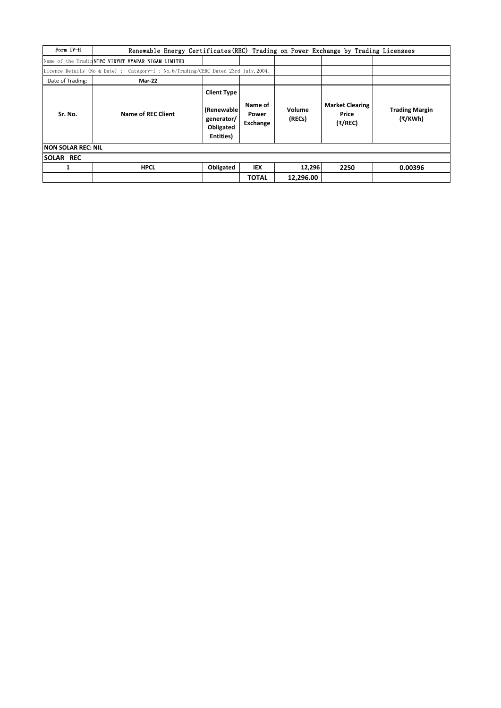| Form IV-H           | Renewable Energy Certificates (REC) Trading on Power Exchange by Trading Licensees   |                                                                          |                              |                  |                                            |                                  |
|---------------------|--------------------------------------------------------------------------------------|--------------------------------------------------------------------------|------------------------------|------------------|--------------------------------------------|----------------------------------|
|                     | Name of the Tradin <b>NTPC VIDYUT VYAPAR NIGAM LIMITED</b>                           |                                                                          |                              |                  |                                            |                                  |
|                     | Licence Details (No & Date) : Category-I ; No. 6/Trading/CERC Dated 23rd July, 2004. |                                                                          |                              |                  |                                            |                                  |
| Date of Trading:    | <b>Mar-22</b>                                                                        |                                                                          |                              |                  |                                            |                                  |
| Sr. No.             | <b>Name of REC Client</b>                                                            | <b>Client Type</b><br>(Renewable<br>generator/<br>Obligated<br>Entities) | Name of<br>Power<br>Exchange | Volume<br>(RECs) | <b>Market Clearing</b><br>Price<br>(₹/REC) | <b>Trading Margin</b><br>(₹/KWh) |
| INON SOLAR REC: NIL |                                                                                      |                                                                          |                              |                  |                                            |                                  |
| <b>SOLAR REC</b>    |                                                                                      |                                                                          |                              |                  |                                            |                                  |
| 1                   | <b>HPCL</b>                                                                          | Obligated                                                                | IEX                          | 12,296           | 2250                                       | 0.00396                          |
|                     |                                                                                      |                                                                          | <b>TOTAL</b>                 | 12,296.00        |                                            |                                  |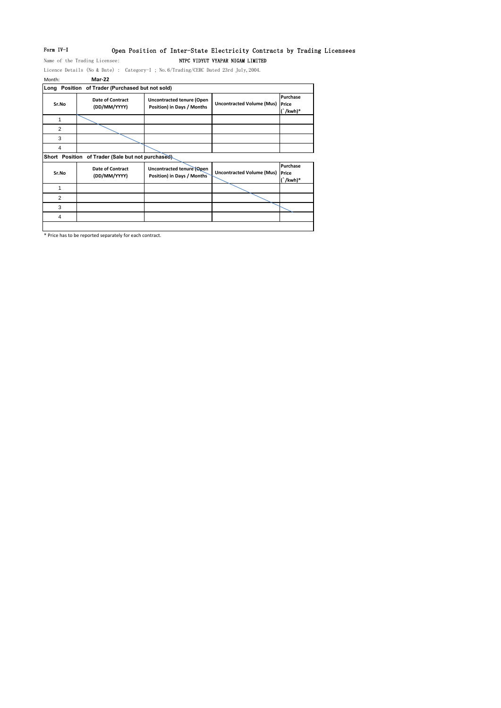## Form IV-I Open Position of Inter-State Electricity Contracts by Trading Licensees

Name of the Trading Licensee: NTPC VIDYUT VYAPAR NIGAM LIMITED

Licence Details (No & Date) : Category-I ; No.6/Trading/CERC Dated 23rd July,2004. Month: **Mar-22**

|       | Long Position of Trader (Purchased but not sold)  |                                                                |                                  |                                                    |
|-------|---------------------------------------------------|----------------------------------------------------------------|----------------------------------|----------------------------------------------------|
| Sr.No | Date of Contract<br>(DD/MM/YYYY)                  | <b>Uncontracted tenure (Open</b><br>Position) in Days / Months | <b>Uncontracted Volume (Mus)</b> | Purchase<br>Price<br>$\int$ /kwh)*                 |
|       |                                                   |                                                                |                                  |                                                    |
| 2     |                                                   |                                                                |                                  |                                                    |
| 3     |                                                   |                                                                |                                  |                                                    |
| 4     |                                                   |                                                                |                                  |                                                    |
|       | Short Position of Trader (Sale but not purchased) |                                                                |                                  |                                                    |
| Sr.No | <b>Date of Contract</b><br>(DD/MM/YYYY)           | Uncontracted tenure (Open<br>Position) in Days / Months        | <b>Uncontracted Volume (Mus)</b> | Purchase<br>Price<br>$\mathbf{r}$ and $\mathbf{r}$ |

| Sr.No | Pate of Contract<br>(DD/MM/YYYY) | <b>Ollcolltracted tellule (ONEIL</b><br>Position) in Days / Months | <b>Uncontracted Volume (Mus) Price</b> | $\int$ /kwh)* |
|-------|----------------------------------|--------------------------------------------------------------------|----------------------------------------|---------------|
|       |                                  |                                                                    |                                        |               |
| っ     |                                  |                                                                    |                                        |               |
| ິ     |                                  |                                                                    |                                        |               |
|       |                                  |                                                                    |                                        |               |
|       |                                  |                                                                    |                                        |               |

\* Price has to be reported separately for each contract.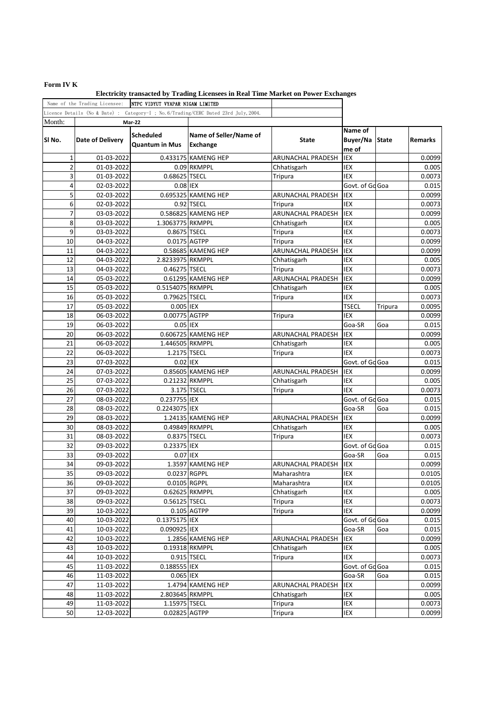## **Form IV K**

|                 | Name of the Trading Licensee: | NTPC VIDYUT VYAPAR NIGAM LIMITED          |                                                                                      |                   |                                    |         |                 |
|-----------------|-------------------------------|-------------------------------------------|--------------------------------------------------------------------------------------|-------------------|------------------------------------|---------|-----------------|
|                 |                               |                                           | Licence Details (No & Date) : Category-I ; No. 6/Trading/CERC Dated 23rd July, 2004. |                   |                                    |         |                 |
| Month:          |                               | <b>Mar-22</b>                             |                                                                                      |                   |                                    |         |                 |
| SI No.          | <b>Date of Delivery</b>       | <b>Scheduled</b><br><b>Quantum in Mus</b> | Name of Seller/Name of<br>Exchange                                                   | <b>State</b>      | Name of<br>Buyer/Na State<br>me of |         | <b>Remarks</b>  |
| 1               | 01-03-2022                    |                                           | 0.433175 KAMENG HEP                                                                  | ARUNACHAL PRADESH | IEX                                |         | 0.0099          |
| $\overline{c}$  | 01-03-2022                    |                                           | 0.09 RKMPPL                                                                          | Chhatisgarh       | IEX                                |         | 0.005           |
| 3               | 01-03-2022                    | 0.68625 TSECL                             |                                                                                      | Tripura           | IEX                                |         | 0.0073          |
| 4               | 02-03-2022                    | 0.08 IEX                                  |                                                                                      |                   | Govt. of Go Goa                    |         | 0.015           |
| 5               | 02-03-2022                    |                                           | 0.695325 KAMENG HEP                                                                  | ARUNACHAL PRADESH | IEX                                |         | 0.0099          |
| 6               | 02-03-2022                    |                                           | 0.92 TSECL                                                                           | Tripura           | IEX                                |         | 0.0073          |
| 7               | 03-03-2022                    |                                           | 0.586825 KAMENG HEP                                                                  | ARUNACHAL PRADESH | IEX                                |         | 0.0099          |
| 8               | 03-03-2022                    | 1.3063775 RKMPPL                          |                                                                                      | Chhatisgarh       | IEX                                |         | 0.005           |
| 9               | 03-03-2022                    | 0.8675 TSECL                              |                                                                                      | Tripura           | IEX                                |         | 0.0073          |
| 10              | 04-03-2022                    |                                           | 0.0175 AGTPP                                                                         | Tripura           | IEX                                |         | 0.0099          |
| 11              | 04-03-2022                    |                                           | 0.58685 KAMENG HEP                                                                   | ARUNACHAL PRADESH | IEX                                |         | 0.0099          |
| 12              | 04-03-2022                    | 2.8233975 RKMPPL                          |                                                                                      | Chhatisgarh       | IEX                                |         | 0.005           |
| 13              | 04-03-2022                    | 0.46275 TSECL                             |                                                                                      | Tripura           | IEX                                |         | 0.0073          |
| 14              | 05-03-2022                    |                                           | 0.61295 KAMENG HEP                                                                   | ARUNACHAL PRADESH | IEX                                |         | 0.0099          |
| 15              | 05-03-2022                    | 0.5154075 RKMPPL                          |                                                                                      | Chhatisgarh       | IEX                                |         | 0.005           |
| 16              | 05-03-2022                    | 0.79625 TSECL                             |                                                                                      | Tripura           | <b>IEX</b>                         |         | 0.0073          |
| 17              | 05-03-2022                    | 0.005 IEX                                 |                                                                                      |                   | <b>TSECL</b>                       | Tripura | 0.0095          |
| 18              | 06-03-2022                    | 0.00775 AGTPP                             |                                                                                      | Tripura           | IEX                                |         | 0.0099          |
| 19              | 06-03-2022                    | 0.05 IEX                                  |                                                                                      |                   | Goa-SR                             | Goa     | 0.015           |
| 20              | 06-03-2022                    |                                           | 0.606725 KAMENG HEP                                                                  | ARUNACHAL PRADESH | IEX                                |         | 0.0099          |
| 21              | 06-03-2022                    | 1.446505 RKMPPL                           |                                                                                      | Chhatisgarh       | IEX                                |         | 0.005           |
| 22              | 06-03-2022                    | 1.2175 TSECL                              |                                                                                      | Tripura           | IEX                                |         | 0.0073          |
| 23              | 07-03-2022                    | 0.02 IEX                                  |                                                                                      |                   | Govt. of Go Goa                    |         | 0.015           |
| 24              | 07-03-2022                    |                                           | 0.85605 KAMENG HEP                                                                   | ARUNACHAL PRADESH | IEX                                |         | 0.0099          |
| 25              | 07-03-2022                    |                                           | 0.21232 RKMPPL                                                                       | Chhatisgarh       | IEX                                |         | 0.005           |
| 26              | 07-03-2022                    |                                           | 3.175 TSECL                                                                          | Tripura           | IEX                                |         | 0.0073          |
| 27              | 08-03-2022                    | 0.237755 IEX                              |                                                                                      |                   | Govt. of Gd Goa                    |         |                 |
| 28              | 08-03-2022                    | 0.2243075 IEX                             |                                                                                      |                   | Goa-SR                             |         | 0.015<br>0.015  |
| 29              |                               |                                           | 1.24135 KAMENG HEP                                                                   |                   |                                    | Goa     |                 |
| 30              | 08-03-2022<br>08-03-2022      |                                           | 0.49849 RKMPPL                                                                       | ARUNACHAL PRADESH | IEX<br>IEX                         |         | 0.0099<br>0.005 |
| 31              |                               |                                           |                                                                                      | Chhatisgarh       |                                    |         |                 |
| 32              | 08-03-2022                    | 0.8375 TSECL                              |                                                                                      | Tripura           | IEX<br>Govt. of Go Goa             |         | 0.0073          |
| 33              | 09-03-2022                    | 0.23375 IEX                               |                                                                                      |                   |                                    |         | 0.015           |
|                 | 09-03-2022                    | 0.07 IEX                                  |                                                                                      |                   | Goa-SR                             | Goa     | 0.015           |
| 34              | 09-03-2022                    |                                           | 1.3597 KAMENG HEP                                                                    | ARUNACHAL PRADESH | IEX                                |         | 0.0099          |
| $\overline{35}$ | 09-03-2022                    |                                           | 0.0237 RGPPL                                                                         | Maharashtra       | IEX                                |         | 0.0105          |
| 36              | 09-03-2022                    |                                           | 0.0105 RGPPL                                                                         | Maharashtra       | IEX                                |         | 0.0105          |
| 37              | 09-03-2022                    |                                           | 0.62625 RKMPPL                                                                       | Chhatisgarh       | IEX                                |         | 0.005           |
| 38              | 09-03-2022                    | 0.56125 TSECL                             |                                                                                      | Tripura           | IEX                                |         | 0.0073          |
| 39              | 10-03-2022                    |                                           | 0.105 AGTPP                                                                          | Tripura           | IEX                                |         | 0.0099          |
| 40              | 10-03-2022                    | 0.1375175 IEX                             |                                                                                      |                   | Govt. of Go Goa                    |         | 0.015           |
| 41              | 10-03-2022                    | 0.090925 IEX                              |                                                                                      |                   | Goa-SR                             | Goa     | 0.015           |
| 42              | 10-03-2022                    |                                           | 1.2856 KAMENG HEP                                                                    | ARUNACHAL PRADESH | IEX                                |         | 0.0099          |
| 43              | 10-03-2022                    |                                           | 0.19318 RKMPPL                                                                       | Chhatisgarh       | IEX                                |         | 0.005           |
| 44              | 10-03-2022                    |                                           | 0.915 TSECL                                                                          | Tripura           | IEX                                |         | 0.0073          |
| 45              | 11-03-2022                    | 0.188555 IEX                              |                                                                                      |                   | Govt. of Go Goa                    |         | 0.015           |
| 46              | 11-03-2022                    | 0.065 IEX                                 |                                                                                      |                   | Goa-SR                             | Goa     | 0.015           |
| 47              | 11-03-2022                    |                                           | 1.4794 KAMENG HEP                                                                    | ARUNACHAL PRADESH | IEX                                |         | 0.0099          |
| 48              | 11-03-2022                    | 2.803645 RKMPPL                           |                                                                                      | Chhatisgarh       | IEX                                |         | 0.005           |
| 49              | 11-03-2022                    | 1.15975 TSECL                             |                                                                                      | Tripura           | IEX                                |         | 0.0073          |
| 50              | 12-03-2022                    | 0.02825 AGTPP                             |                                                                                      | Tripura           | IEX                                |         | 0.0099          |

**Electricity transacted by Trading Licensees in Real Time Market on Power Exchanges**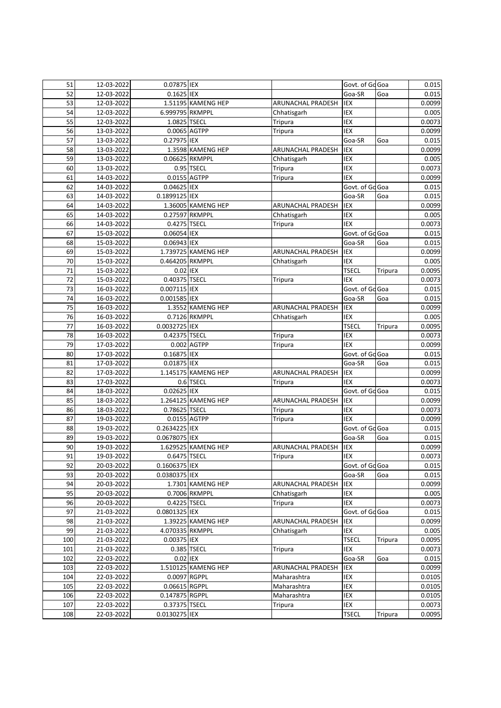| 51  | 12-03-2022               | 0.07875 IEX                    |                     |                              | Govt. of Go Goa |         | 0.015            |
|-----|--------------------------|--------------------------------|---------------------|------------------------------|-----------------|---------|------------------|
| 52  | 12-03-2022               | $0.1625$ IEX                   |                     |                              | Goa-SR          | Goa     | 0.015            |
| 53  | 12-03-2022               |                                | 1.51195 KAMENG HEP  | ARUNACHAL PRADESH            | IEX             |         | 0.0099           |
| 54  | 12-03-2022               | 6.999795 RKMPPL                |                     | Chhatisgarh                  | IEX             |         | 0.005            |
| 55  | 12-03-2022               | 1.0825 TSECL                   |                     | Tripura                      | IEX             |         | 0.0073           |
| 56  | 13-03-2022               | 0.0065 AGTPP                   |                     | Tripura                      | <b>IEX</b>      |         | 0.0099           |
| 57  | 13-03-2022               | 0.27975 IEX                    |                     |                              | Goa-SR          | Goa     | 0.015            |
| 58  | 13-03-2022               |                                | 1.3598 KAMENG HEP   | <b>ARUNACHAL PRADESH</b>     | IEX             |         | 0.0099           |
| 59  | 13-03-2022               |                                | 0.06625 RKMPPL      | Chhatisgarh                  | <b>IEX</b>      |         | 0.005            |
| 60  | 13-03-2022               |                                | 0.95 TSECL          | Tripura                      | IEX             |         | 0.0073           |
| 61  | 14-03-2022               | 0.0155 AGTPP                   |                     | Tripura                      | IEX             |         | 0.0099           |
| 62  | 14-03-2022               | 0.04625 IEX                    |                     |                              | Govt. of Go Goa |         | 0.015            |
| 63  | 14-03-2022               | 0.1899125 IEX                  |                     |                              | Goa-SR          | Goa     | 0.015            |
| 64  | 14-03-2022               |                                | 1.36005 KAMENG HEP  | ARUNACHAL PRADESH            | IEX             |         | 0.0099           |
| 65  | 14-03-2022               |                                | 0.27597 RKMPPL      | Chhatisgarh                  | IEX             |         | 0.005            |
| 66  | 14-03-2022               | 0.4275 TSECL                   |                     | Tripura                      | IEX             |         | 0.0073           |
| 67  | 15-03-2022               | 0.06054 IEX                    |                     |                              | Govt. of Go Goa |         | 0.015            |
| 68  | 15-03-2022               | 0.06943 IEX                    |                     |                              | Goa-SR          | Goa     | 0.015            |
| 69  | 15-03-2022               |                                | 1.739725 KAMENG HEP | ARUNACHAL PRADESH            | IEX             |         | 0.0099           |
| 70  | 15-03-2022               | 0.464205 RKMPPL                |                     | Chhatisgarh                  | IEX             |         | 0.005            |
| 71  | 15-03-2022               | 0.02 IEX                       |                     |                              | <b>TSECL</b>    | Tripura | 0.0095           |
| 72  | 15-03-2022               | 0.40375 TSECL                  |                     | Tripura                      | IEX             |         | 0.0073           |
| 73  | 16-03-2022               | 0.007115 IEX                   |                     |                              | Govt. of Go Goa |         | 0.015            |
| 74  | 16-03-2022               | 0.001585 IEX                   |                     |                              | Goa-SR          | Goa     | 0.015            |
| 75  | 16-03-2022               |                                | 1.3552 KAMENG HEP   | ARUNACHAL PRADESH            | IEX             |         | 0.0099           |
| 76  | 16-03-2022               |                                | 0.7126 RKMPPL       | Chhatisgarh                  | IEX             |         | 0.005            |
| 77  | 16-03-2022               | 0.0032725 IEX                  |                     |                              | <b>TSECL</b>    | Tripura | 0.0095           |
| 78  | 16-03-2022               | 0.42375 TSECL                  |                     | Tripura                      | IEX             |         | 0.0073           |
| 79  | 17-03-2022               |                                | 0.002 AGTPP         | Tripura                      | <b>IEX</b>      |         | 0.0099           |
| 80  | 17-03-2022               | 0.16875 IEX                    |                     |                              | Govt. of Go Goa |         | 0.015            |
| 81  | 17-03-2022               | 0.01875 IEX                    |                     |                              | Goa-SR          | Goa     | 0.015            |
| 82  | 17-03-2022               |                                | 1.145175 KAMENG HEP | <b>ARUNACHAL PRADESH</b>     | IEX             |         | 0.0099           |
| 83  | 17-03-2022               |                                | 0.6 TSECL           | Tripura                      | IEX             |         | 0.0073           |
| 84  | 18-03-2022               | 0.02625 IEX                    |                     |                              | Govt. of Gd Goa |         | 0.015            |
| 85  | 18-03-2022               |                                | 1.264125 KAMENG HEP | ARUNACHAL PRADESH            | IEX             |         | 0.0099           |
| 86  | 18-03-2022               | 0.78625 TSECL                  |                     | Tripura                      | IEX             |         | 0.0073           |
| 87  | 19-03-2022               | 0.0155 AGTPP                   |                     | Tripura                      | IEX             |         | 0.0099           |
| 88  | 19-03-2022               | 0.2634225 IEX                  |                     |                              | Govt. of Go Goa |         | 0.015            |
| 89  | 19-03-2022               | 0.0678075 IEX                  |                     |                              | Goa-SR          | Goa     | 0.015            |
| 90  |                          |                                |                     |                              |                 |         |                  |
| 91  | 19-03-2022<br>19-03-2022 | 0.6475 TSECL                   | 1.629525 KAMENG HEP | ARUNACHAL PRADESH<br>Tripura | IEX<br>IEX      |         | 0.0099<br>0.0073 |
| 92  |                          |                                |                     |                              | Govt. of Go Goa |         |                  |
| 93  | 20-03-2022<br>20-03-2022 | 0.1606375 IEX<br>0.0380375 IEX |                     |                              | Goa-SR          | Goa     | 0.015<br>0.015   |
| 94  | 20-03-2022               |                                | 1.7301 KAMENG HEP   | ARUNACHAL PRADESH            | IEX             |         | 0.0099           |
|     |                          |                                |                     |                              |                 |         |                  |
| 95  | 20-03-2022               |                                | 0.7006 RKMPPL       | Chhatisgarh                  | IEX             |         | 0.005            |
| 96  | 20-03-2022               | 0.4225 TSECL                   |                     | Tripura                      | IEX             |         | 0.0073           |
| 97  | 21-03-2022               | 0.0801325 IEX                  |                     |                              | Govt. of Go Goa |         | 0.015            |
| 98  | 21-03-2022               |                                | 1.39225 KAMENG HEP  | ARUNACHAL PRADESH            | IEX             |         | 0.0099           |
| 99  | 21-03-2022               | 4.070335 RKMPPL                |                     | Chhatisgarh                  | IEX             |         | 0.005            |
| 100 | 21-03-2022               | 0.00375 IEX                    |                     |                              | <b>TSECL</b>    | Tripura | 0.0095           |
| 101 | 21-03-2022               |                                | 0.385 TSECL         | Tripura                      | IEX             |         | 0.0073           |
| 102 | 22-03-2022               | 0.02 IEX                       |                     |                              | Goa-SR          | Goa     | 0.015            |
| 103 | 22-03-2022               |                                | 1.510125 KAMENG HEP | ARUNACHAL PRADESH            | IEX             |         | 0.0099           |
| 104 | 22-03-2022               | 0.0097 RGPPL                   |                     | Maharashtra                  | IEX             |         | 0.0105           |
| 105 | 22-03-2022               | 0.06615 RGPPL                  |                     | Maharashtra                  | IEX             |         | 0.0105           |
| 106 | 22-03-2022               | 0.147875 RGPPL                 |                     | Maharashtra                  | IEX             |         | 0.0105           |
| 107 | 22-03-2022               | 0.37375 TSECL                  |                     | Tripura                      | IEX             |         | 0.0073           |
| 108 | 22-03-2022               | 0.0130275 IEX                  |                     |                              | <b>TSECL</b>    | Tripura | 0.0095           |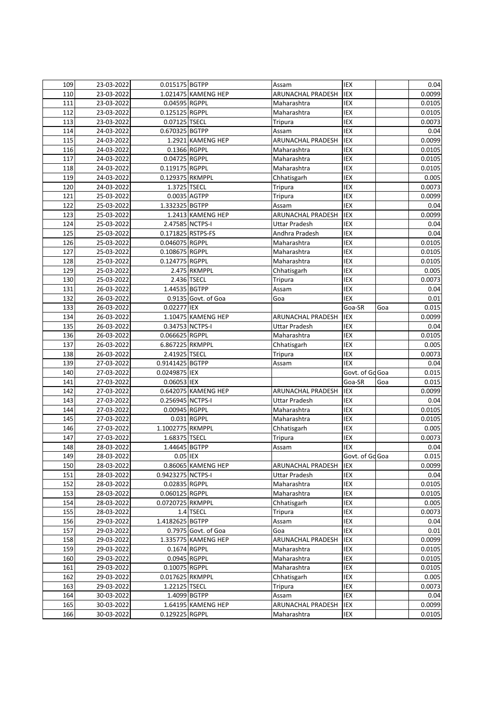| 109        | 23-03-2022               | 0.015175 BGTPP    |                     | Assam                            | IEX             |     | 0.04                               |
|------------|--------------------------|-------------------|---------------------|----------------------------------|-----------------|-----|------------------------------------|
| 110        | 23-03-2022               |                   | 1.021475 KAMENG HEP | ARUNACHAL PRADESH                | IEX             |     | 0.0099                             |
| 111        | 23-03-2022               | 0.04595 RGPPL     |                     | Maharashtra                      | IEX             |     | 0.0105                             |
| 112        | 23-03-2022               | 0.125125 RGPPL    |                     | Maharashtra                      | IEX             |     | 0.0105                             |
| 113        | 23-03-2022               | 0.07125 TSECL     |                     | Tripura                          | <b>IEX</b>      |     | 0.0073                             |
| 114        | 24-03-2022               | 0.670325 BGTPP    |                     | Assam                            | IEX             |     | 0.04                               |
| 115        | 24-03-2022               |                   | 1.2921 KAMENG HEP   | ARUNACHAL PRADESH                | IEX             |     | 0.0099                             |
| 116        | 24-03-2022               | 0.1366 RGPPL      |                     | Maharashtra                      | IEX             |     | 0.0105                             |
| 117        | 24-03-2022               | 0.04725 RGPPL     |                     | Maharashtra                      | IEX             |     | 0.0105                             |
| 118        | 24-03-2022               | 0.119175 RGPPL    |                     | Maharashtra                      | IEX             |     | 0.0105                             |
| 119        | 24-03-2022               | 0.129375 RKMPPL   |                     | Chhatisgarh                      | IEX             |     | 0.005                              |
| 120        | 24-03-2022               | 1.3725 TSECL      |                     | Tripura                          | IEX             |     | 0.0073                             |
| 121        | 25-03-2022               | $0.0035$ $AGTPP$  |                     | Tripura                          | IEX             |     | 0.0099                             |
| 122        | 25-03-2022               | 1.332325 BGTPP    |                     | Assam                            | IEX             |     | 0.04                               |
| 123        | 25-03-2022               |                   | 1.2413 KAMENG HEP   | ARUNACHAL PRADESH                | IEX             |     | 0.0099                             |
| 124        | 25-03-2022               | 2.47585 NCTPS-I   |                     | <b>Uttar Pradesh</b>             | <b>IEX</b>      |     | 0.04                               |
| 125        | 25-03-2022               | 0.171825 RSTPS-FS |                     | Andhra Pradesh                   | IEX             |     | 0.04                               |
| 126        | 25-03-2022               | 0.046075 RGPPL    |                     | Maharashtra                      | IEX             |     | 0.0105                             |
| 127        | 25-03-2022               | 0.108675 RGPPL    |                     | Maharashtra                      | IEX             |     | 0.0105                             |
|            |                          | 0.124775 RGPPL    |                     |                                  | IEX             |     |                                    |
| 128        | 25-03-2022               |                   |                     | Maharashtra                      |                 |     | 0.0105                             |
| 129        | 25-03-2022               |                   | 2.475 RKMPPL        | Chhatisgarh                      | IEX             |     | 0.005                              |
| 130        | 25-03-2022               |                   | 2.436 TSECL         | <b>Tripura</b>                   | IEX             |     | 0.0073                             |
| 131        | 26-03-2022               | 1.44535 BGTPP     |                     | Assam                            | IEX             |     | 0.04                               |
| 132        | 26-03-2022               |                   | 0.9135 Govt. of Goa | Goa                              | IEX             |     | 0.01                               |
| 133        | 26-03-2022               | 0.02277 IEX       |                     |                                  | Goa-SR          | Goa | 0.015                              |
| 134        | 26-03-2022               |                   | 1.10475 KAMENG HEP  | ARUNACHAL PRADESH                | IEX             |     | 0.0099                             |
| 135        | 26-03-2022               | 0.34753 NCTPS-I   |                     | Uttar Pradesh                    | IEX             |     | 0.04                               |
| 136        | 26-03-2022               | 0.066625 RGPPL    |                     | Maharashtra                      | IEX             |     | 0.0105                             |
| 137        | 26-03-2022               | 6.867225 RKMPPL   |                     | Chhatisgarh                      | IEX             |     | 0.005                              |
| 138        | 26-03-2022               | 2.41925 TSECL     |                     | Tripura                          | IEX             |     | 0.0073                             |
| 139        | 27-03-2022               | 0.9141425 BGTPP   |                     | Assam                            | <b>IEX</b>      |     | 0.04                               |
| 140        | 27-03-2022               | 0.0249875 IEX     |                     |                                  | Govt. of Go Goa |     | 0.015                              |
| 141        | 27-03-2022               | 0.06053 IEX       |                     |                                  | Goa-SR          | Goa | 0.015                              |
| 142        | 27-03-2022               |                   | 0.642075 KAMENG HEP | ARUNACHAL PRADESH                | IEX             |     | 0.0099                             |
| 143        | 27-03-2022               | 0.256945 NCTPS-I  |                     | <b>Uttar Pradesh</b>             | IEX             |     | 0.04                               |
| 144        | 27-03-2022               | 0.00945 RGPPL     |                     | Maharashtra                      | IEX             |     | 0.0105                             |
| 145        | 27-03-2022               |                   | 0.031 RGPPL         | Maharashtra                      | IEX             |     | 0.0105                             |
| 146        | 27-03-2022               | 1.1002775 RKMPPL  |                     | Chhatisgarh                      | IEX             |     | 0.005                              |
| 147        | 27-03-2022               | 1.68375 TSECL     |                     | Tripura                          | IEX             |     | 0.0073                             |
| 148        | 28-03-2022               | 1.44645 BGTPP     |                     | Assam                            | IEX             |     | 0.04                               |
| 149        | 28-03-2022               | 0.05 IEX          |                     |                                  | Govt. of Go Goa |     | 0.015                              |
| 150        | 28-03-2022               |                   | 0.86065 KAMENG HEP  | ARUNACHAL PRADESH                | IEX             |     | 0.0099                             |
| 151        | 28-03-2022               | 0.9423275 NCTPS-I |                     | Uttar Pradesh                    | IEX             |     | 0.04                               |
| 152        | 28-03-2022               | 0.02835 RGPPL     |                     | Maharashtra                      | IEX             |     | 0.0105                             |
| 153        | 28-03-2022               | 0.060125 RGPPL    |                     | Maharashtra                      | IEX             |     | 0.0105                             |
| 154        | 28-03-2022               | 0.0720725 RKMPPL  |                     | Chhatisgarh                      | IEX             |     | 0.005                              |
| 155        | 28-03-2022               |                   | 1.4 TSECL           | Tripura                          | IEX             |     | 0.0073                             |
| 156        | 29-03-2022               | 1.4182625 BGTPP   |                     | Assam                            | IEX             |     | 0.04                               |
| 157        | 29-03-2022               |                   | 0.7975 Govt. of Goa | Goa                              | IEX             |     | 0.01                               |
| 158        | 29-03-2022               |                   | 1.335775 KAMENG HEP | ARUNACHAL PRADESH                | IEX             |     | 0.0099                             |
| 159        | 29-03-2022               | 0.1674 RGPPL      |                     | Maharashtra                      | IEX             |     | 0.0105                             |
| 160        | 29-03-2022               | 0.0945 RGPPL      |                     | Maharashtra                      | IEX             |     | 0.0105                             |
|            |                          |                   |                     |                                  |                 |     |                                    |
| 161        | 29-03-2022               | 0.10075 RGPPL     |                     | Maharashtra                      | IEX             |     | 0.0105                             |
| 162        | 29-03-2022               | 0.017625 RKMPPL   |                     | Chhatisgarh                      | IEX             |     | 0.005                              |
| 163        |                          |                   |                     |                                  |                 |     |                                    |
|            | 29-03-2022               | 1.22125 TSECL     |                     | Tripura                          | IEX             |     |                                    |
| 164        | 30-03-2022               | 1.4099 BGTPP      |                     | Assam                            | IEX             |     |                                    |
| 165<br>166 | 30-03-2022<br>30-03-2022 | 0.129225 RGPPL    | 1.64195 KAMENG HEP  | ARUNACHAL PRADESH<br>Maharashtra | IEX<br>IEX      |     | 0.0073<br>0.04<br>0.0099<br>0.0105 |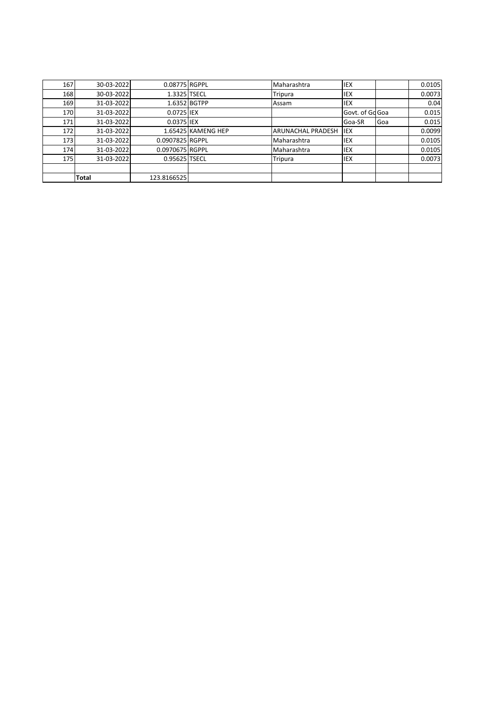| 167 | 30-03-2022 | 0.08775 RGPPL   |                    | Maharashtra              | <b>IEX</b>      |     | 0.0105 |
|-----|------------|-----------------|--------------------|--------------------------|-----------------|-----|--------|
| 168 | 30-03-2022 | 1.3325 TSECL    |                    | Tripura                  | IEX             |     | 0.0073 |
| 169 | 31-03-2022 |                 | 1.6352 BGTPP       | Assam                    | IEX             |     | 0.04   |
| 170 | 31-03-2022 | 0.0725 IEX      |                    |                          | Govt. of Gd Goa |     | 0.015  |
| 171 | 31-03-2022 | 0.0375 IEX      |                    |                          | Goa-SR          | Goa | 0.015  |
| 172 | 31-03-2022 |                 | 1.65425 KAMENG HEP | <b>ARUNACHAL PRADESH</b> | <b>IIEX</b>     |     | 0.0099 |
| 173 | 31-03-2022 | 0.0907825 RGPPL |                    | Maharashtra              | <b>IEX</b>      |     | 0.0105 |
| 174 | 31-03-2022 | 0.0970675 RGPPL |                    | Maharashtra              | <b>IEX</b>      |     | 0.0105 |
| 175 | 31-03-2022 | 0.95625 TSECL   |                    | Tripura                  | IEX             |     | 0.0073 |
|     |            |                 |                    |                          |                 |     |        |
|     | Total      | 123.8166525     |                    |                          |                 |     |        |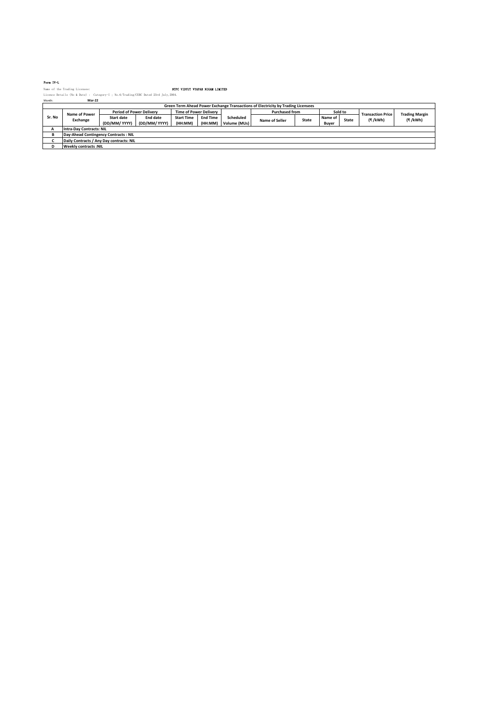### Form IV-L

|        | Name of the Trading Licensee:                                                        |               |                                 | NTPC VIDYUT VYAPAR NIGAM LIMITED |                 |              |                                                                                  |              |         |       |                          |                       |
|--------|--------------------------------------------------------------------------------------|---------------|---------------------------------|----------------------------------|-----------------|--------------|----------------------------------------------------------------------------------|--------------|---------|-------|--------------------------|-----------------------|
|        | Licence Details (No & Date) : Category-I : No. 6/Trading/CERC Dated 23rd July, 2004. |               |                                 |                                  |                 |              |                                                                                  |              |         |       |                          |                       |
| Month: | Mar-22                                                                               |               |                                 |                                  |                 |              |                                                                                  |              |         |       |                          |                       |
|        |                                                                                      |               |                                 |                                  |                 |              | Green Term Ahead Power Exchange Transactions of Electricity by Trading Licensees |              |         |       |                          |                       |
|        | Name of Power                                                                        |               | <b>Period of Power Delivery</b> | <b>Time of Power Delivery</b>    |                 |              | <b>Purchased from</b>                                                            |              | Sold to |       | <b>Transaction Price</b> | <b>Trading Margin</b> |
| Sr. No | Exchange                                                                             | Start date    | End date                        | <b>Start Time</b>                | <b>End Time</b> | Scheduled    |                                                                                  | <b>State</b> | Name of | State | (₹/kWh)                  | (₹/kWh)               |
|        |                                                                                      | (DD/MM/ YYYY) | (DD/MM/ YYYY)                   | (HH:MM)                          | (HH:MM)         | Volume (MUs) | Name of Seller                                                                   |              | Buyer   |       |                          |                       |
| А      | <b>Intra-Dav Contracts: NIL</b>                                                      |               |                                 |                                  |                 |              |                                                                                  |              |         |       |                          |                       |
| в      | Day-Ahead Contingency Contracts: NIL                                                 |               |                                 |                                  |                 |              |                                                                                  |              |         |       |                          |                       |
|        | Daily Contracts / Any Day contracts: NIL                                             |               |                                 |                                  |                 |              |                                                                                  |              |         |       |                          |                       |
| D      | <b>Weekly contracts:NIL</b>                                                          |               |                                 |                                  |                 |              |                                                                                  |              |         |       |                          |                       |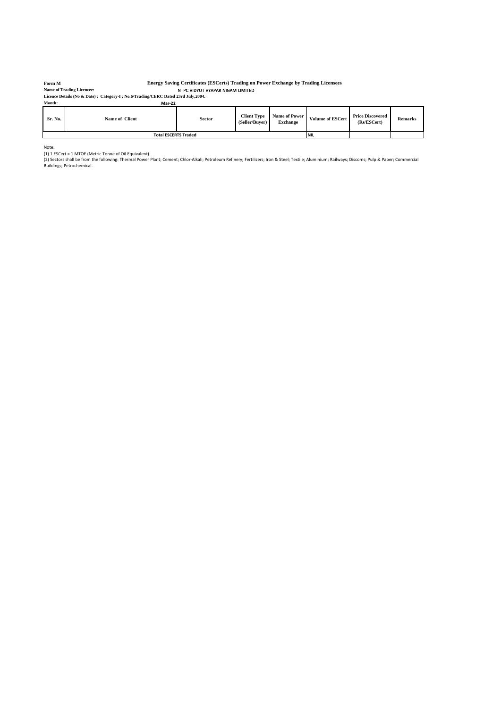### **Form M**

**Name of Trading Licencee:**

# **Energy Saving Certificates (ESCerts) Trading on Power Exchange by Trading Licensees**

NTPC VIDYUT VYAPAR NIGAM LIMITED **Licence Details (No & Date) : Category-I ; No.6/Trading/CERC Dated 23rd July,2004. Month: Mar-22**

| Sr. No. | Name of Client              | Sector      | <b>Client Type</b><br>(Seller/Buver) | <b>Name of Power</b><br><b>Exchange</b> | <b>Volume of ESCert</b> | <b>Price Discovered</b><br>(Rs/ESCert) | <b>Remarks</b> |
|---------|-----------------------------|-------------|--------------------------------------|-----------------------------------------|-------------------------|----------------------------------------|----------------|
|         | <b>Total ESCERTS Traded</b> | <b>INIL</b> |                                      |                                         |                         |                                        |                |

Note:<br>(1) 1 ESCert = 1 MTOE (Metric Tonne of Oil Equivalent)<br>(2) Sectors shall be from the following: Thermal Power Plant; Cement; Chlor-Alkali; Petroleum Refinery; Fertilizers; Iron & Steel; Textile; Aluminium; Railways;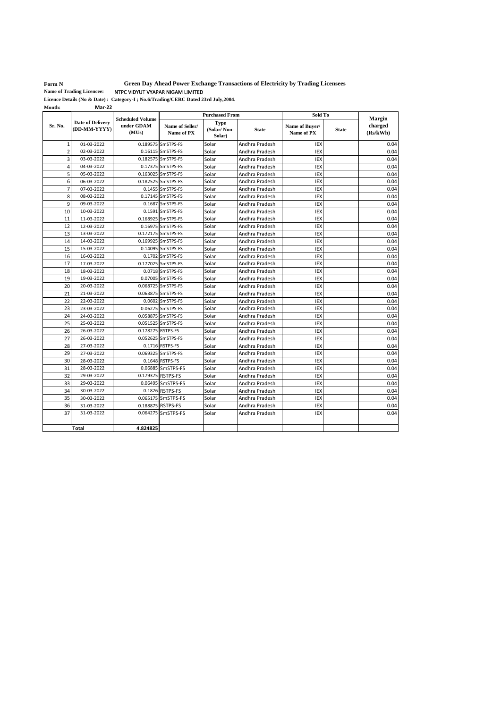**Form N** 

**Green Day Ahead Power Exchange Transactions of Electricity by Trading Licensees**

NTPC VIDYUT VYAPAR NIGAM LIMITED **Name of Trading Licencee:**

**Licence Details (No & Date) : Category-I ; No.6/Trading/CERC Dated 23rd July,2004. Month: Mar-22**

|                |                                         |                                                | <b>Purchased From</b>         |                               |                | Sold To                      |              | Margin              |
|----------------|-----------------------------------------|------------------------------------------------|-------------------------------|-------------------------------|----------------|------------------------------|--------------|---------------------|
| Sr. No.        | <b>Date of Delivery</b><br>(DD-MM-YYYY) | <b>Scheduled Volume</b><br>under GDAM<br>(MUs) | Name of Seller/<br>Name of PX | Type<br>(Solar/Non-<br>Solar) | <b>State</b>   | Name of Buver/<br>Name of PX | <b>State</b> | charged<br>(Rs/kWh) |
| 1              | 01-03-2022                              |                                                | 0.189575 SmSTPS-FS            | Solar                         | Andhra Pradesh | <b>IEX</b>                   |              | 0.04                |
| $\overline{2}$ | 02-03-2022                              |                                                | 0.16115 SmSTPS-FS             | Solar                         | Andhra Pradesh | <b>IEX</b>                   |              | 0.04                |
| 3              | 03-03-2022                              |                                                | 0.182575 SmSTPS-FS            | Solar                         | Andhra Pradesh | <b>IEX</b>                   |              | 0.04                |
| 4              | 04-03-2022                              |                                                | 0.17375 SmSTPS-FS             | Solar                         | Andhra Pradesh | IEX                          |              | 0.04                |
| 5              | 05-03-2022                              |                                                | 0.163025 SmSTPS-FS            | Solar                         | Andhra Pradesh | <b>IEX</b>                   |              | 0.04                |
| 6              | 06-03-2022                              |                                                | 0.182525 SmSTPS-FS            | Solar                         | Andhra Pradesh | IEX                          |              | 0.04                |
| $\overline{7}$ | 07-03-2022                              |                                                | 0.1455 SmSTPS-FS              | Solar                         | Andhra Pradesh | IEX                          |              | 0.04                |
| 8              | 08-03-2022                              |                                                | 0.17145 SmSTPS-FS             | Solar                         | Andhra Pradesh | <b>IEX</b>                   |              | 0.04                |
| 9              | 09-03-2022                              |                                                | 0.1687 SmSTPS-FS              | Solar                         | Andhra Pradesh | IEX                          |              | 0.04                |
| 10             | 10-03-2022                              |                                                | 0.1591 SmSTPS-FS              | Solar                         | Andhra Pradesh | IEX                          |              | 0.04                |
| 11             | 11-03-2022                              |                                                | 0.168925 SmSTPS-FS            | Solar                         | Andhra Pradesh | IEX                          |              | 0.04                |
| 12             | 12-03-2022                              |                                                | 0.16975 SmSTPS-FS             | Solar                         | Andhra Pradesh | <b>IEX</b>                   |              | 0.04                |
| 13             | 13-03-2022                              |                                                | 0.172175 SmSTPS-FS            | Solar                         | Andhra Pradesh | IEX                          |              | 0.04                |
| 14             | 14-03-2022                              |                                                | 0.169925 SmSTPS-FS            | Solar                         | Andhra Pradesh | IEX                          |              | 0.04                |
| 15             | 15-03-2022                              |                                                | 0.14095 SmSTPS-FS             | Solar                         | Andhra Pradesh | IEX                          |              | 0.04                |
| 16             | 16-03-2022                              |                                                | 0.1702 SmSTPS-FS              | Solar                         | Andhra Pradesh | <b>IEX</b>                   |              | 0.04                |
| 17             | 17-03-2022                              |                                                | 0.177025 SmSTPS-FS            | Solar                         | Andhra Pradesh | IEX                          |              | 0.04                |
| 18             | 18-03-2022                              |                                                | 0.0718 SmSTPS-FS              | Solar                         | Andhra Pradesh | IEX                          |              | 0.04                |
| 19             | 19-03-2022                              |                                                | 0.07005 SmSTPS-FS             | Solar                         | Andhra Pradesh | IEX                          |              | 0.04                |
| 20             | 20-03-2022                              |                                                | 0.068725 SmSTPS-FS            | Solar                         | Andhra Pradesh | IEX                          |              | 0.04                |
| 21             | 21-03-2022                              |                                                | 0.063875 SmSTPS-FS            | Solar                         | Andhra Pradesh | IEX                          |              | 0.04                |
| 22             | 22-03-2022                              |                                                | 0.0602 SmSTPS-FS              | Solar                         | Andhra Pradesh | IEX                          |              | 0.04                |
| 23             | 23-03-2022                              |                                                | 0.06275 SmSTPS-FS             | Solar                         | Andhra Pradesh | <b>IEX</b>                   |              | 0.04                |
| 24             | 24-03-2022                              |                                                | 0.058875 SmSTPS-FS            | Solar                         | Andhra Pradesh | IEX                          |              | 0.04                |
| 25             | 25-03-2022                              |                                                | 0.051525 SmSTPS-FS            | Solar                         | Andhra Pradesh | IEX                          |              | 0.04                |
| 26             | 26-03-2022                              | 0.178275 RSTPS-FS                              |                               | Solar                         | Andhra Pradesh | IEX                          |              | 0.04                |
| 27             | 26-03-2022                              |                                                | 0.052625 SmSTPS-FS            | Solar                         | Andhra Pradesh | <b>IEX</b>                   |              | 0.04                |
| 28             | 27-03-2022                              |                                                | 0.1716 RSTPS-FS               | Solar                         | Andhra Pradesh | <b>IEX</b>                   |              | 0.04                |
| 29             | 27-03-2022                              |                                                | 0.069325 SmSTPS-FS            | Solar                         | Andhra Pradesh | <b>IEX</b>                   |              | 0.04                |
| 30             | 28-03-2022                              |                                                | 0.1648 RSTPS-FS               | Solar                         | Andhra Pradesh | <b>IEX</b>                   |              | 0.04                |
| 31             | 28-03-2022                              |                                                | 0.06885 SmSTPS-FS             | Solar                         | Andhra Pradesh | <b>IEX</b>                   |              | 0.04                |
| 32             | 29-03-2022                              |                                                | 0.179375 RSTPS-FS             | Solar                         | Andhra Pradesh | <b>IEX</b>                   |              | 0.04                |
| 33             | 29-03-2022                              |                                                | 0.06495 SmSTPS-FS             | Solar                         | Andhra Pradesh | <b>IEX</b>                   |              | 0.04                |
| 34             | 30-03-2022                              |                                                | 0.1826 RSTPS-FS               | Solar                         | Andhra Pradesh | <b>IEX</b>                   |              | 0.04                |
| 35             | 30-03-2022                              |                                                | 0.065175 SmSTPS-FS            | Solar                         | Andhra Pradesh | <b>IEX</b>                   |              | 0.04                |
| 36             | 31-03-2022                              |                                                | 0.188875 RSTPS-FS             | Solar                         | Andhra Pradesh | IEX                          |              | 0.04                |
| 37             | 31-03-2022                              |                                                | 0.064275 SmSTPS-FS            | Solar                         | Andhra Pradesh | <b>IEX</b>                   |              | 0.04                |
|                |                                         |                                                |                               |                               |                |                              |              |                     |
|                | Total                                   | 4.824825                                       |                               |                               |                |                              |              |                     |